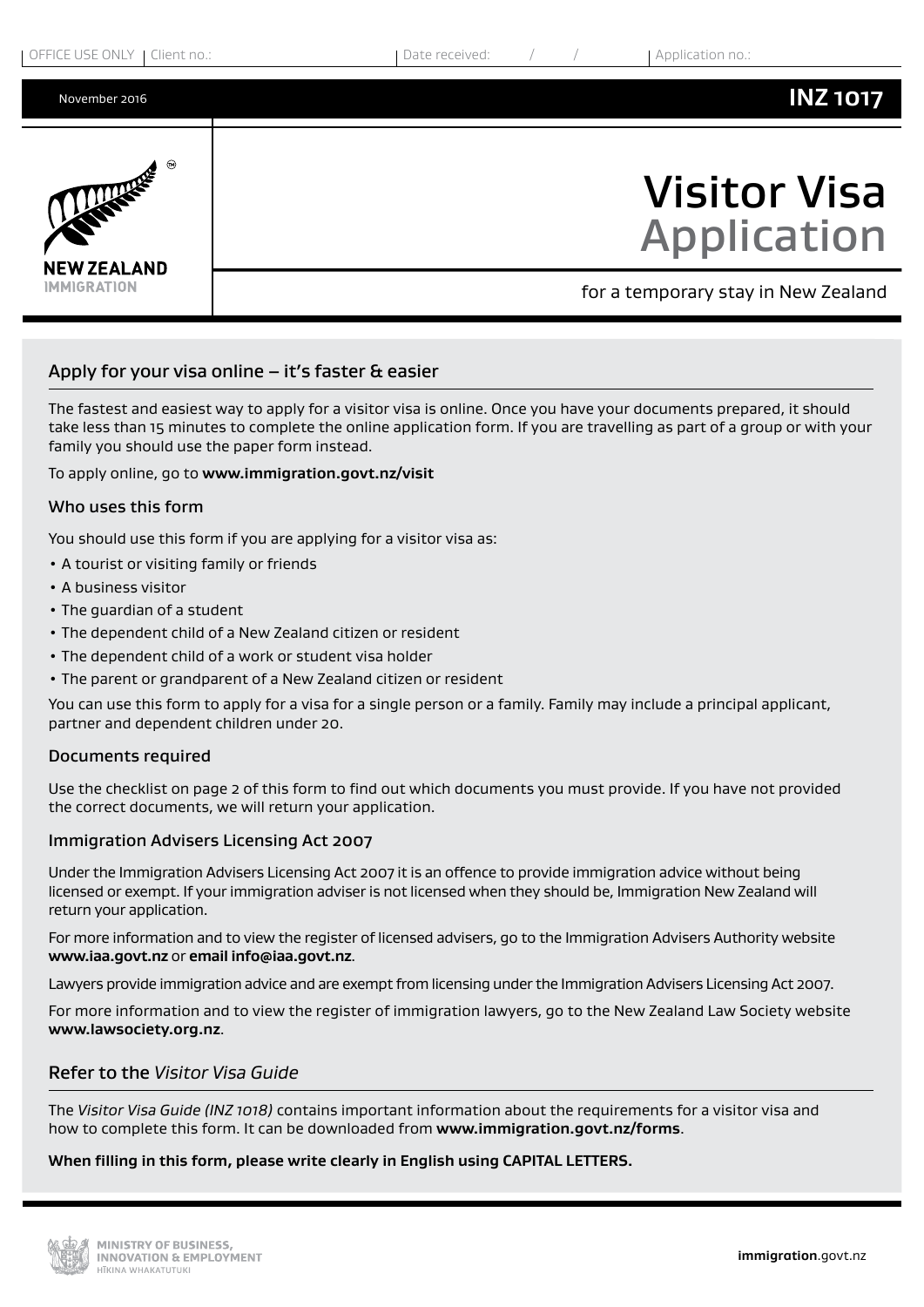

# Apply for your visa online  $-$  it's faster & easier

The fastest and easiest way to apply for a visitor visa is online. Once you have your documents prepared, it should take less than 15 minutes to complete the online application form. If you are travelling as part of a group or with your family you should use the paper form instead.

To apply online, go to **www.immigration.govt.nz/visit**

## Who uses this form

You should use this form if you are applying for a visitor visa as:

- A tourist or visiting family or friends
- A business visitor
- The guardian of a student
- The dependent child of a New Zealand citizen or resident
- The dependent child of a work or student visa holder
- The parent or grandparent of a New Zealand citizen or resident

You can use this form to apply for a visa for a single person or a family. Family may include a principal applicant, partner and dependent children under 20.

## Documents required

Use the checklist on page 2 of this form to find out which documents you must provide. If you have not provided the correct documents, we will return your application.

## Immigration Advisers Licensing Act 2007

Under the Immigration Advisers Licensing Act 2007 it is an offence to provide immigration advice without being licensed or exempt. If your immigration adviser is not licensed when they should be, Immigration New Zealand will return your application.

For more information and to view the register of licensed advisers, go to the Immigration Advisers Authority website **www.iaa.govt.nz** or **email info@iaa.govt.nz**.

Lawyers provide immigration advice and are exempt from licensing under the Immigration Advisers Licensing Act 2007.

For more information and to view the register of immigration lawyers, go to the New Zealand Law Society website **www.lawsociety.org.nz**.

# Refer to the *Visitor Visa Guide*

The *Visitor Visa Guide (INZ 1018)* contains important information about the requirements for a visitor visa and how to complete this form. It can be downloaded from **www.immigration.govt.nz/forms**.

#### **When filling in this form, please write clearly in English using CAPITAL LETTERS.**

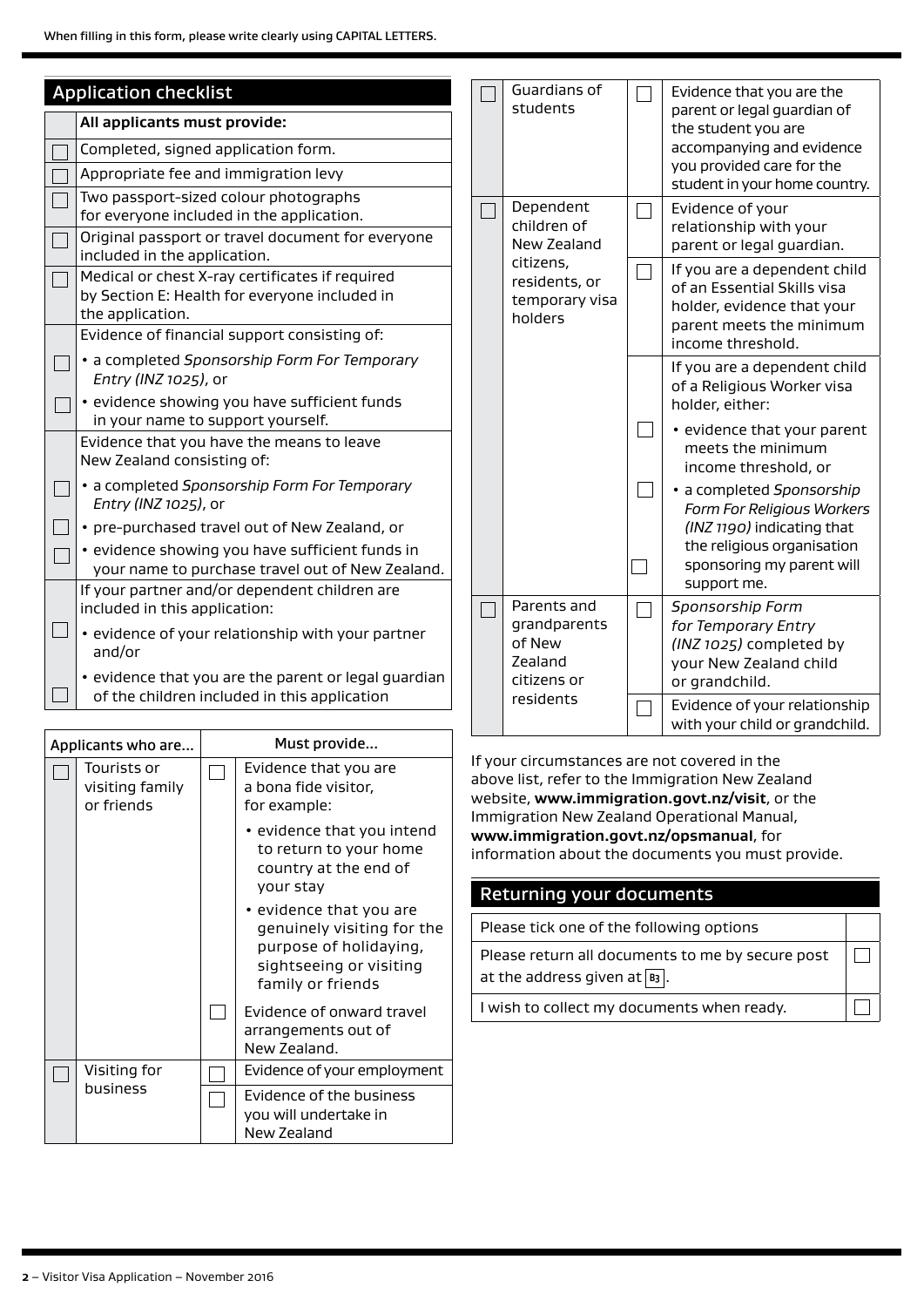| <b>Application checklist</b><br>All applicants must provide:<br>Completed, signed application form.<br>Appropriate fee and immigration levy                                                                                                                                   | Guardians of<br>students                                        | Evidence that you are the<br>parent or legal guardian of<br>the student you are<br>accompanying and evidence<br>you provided care for the<br>student in your home country. |
|-------------------------------------------------------------------------------------------------------------------------------------------------------------------------------------------------------------------------------------------------------------------------------|-----------------------------------------------------------------|----------------------------------------------------------------------------------------------------------------------------------------------------------------------------|
| Two passport-sized colour photographs<br>for everyone included in the application.<br>Original passport or travel document for everyone<br>included in the application.                                                                                                       | Dependent<br>children of<br>New Zealand                         | Evidence of your<br>relationship with your<br>parent or legal guardian.                                                                                                    |
| Medical or chest X-ray certificates if required<br>by Section E: Health for everyone included in<br>the application.<br>Evidence of financial support consisting of:                                                                                                          | citizens,<br>residents, or<br>temporary visa<br>holders         | If you are a dependent child<br>of an Essential Skills visa<br>holder, evidence that your<br>parent meets the minimum<br>income threshold.                                 |
| • a completed Sponsorship Form For Temporary<br>Entry (INZ 1025), or<br>· evidence showing you have sufficient funds                                                                                                                                                          |                                                                 | If you are a dependent child<br>of a Religious Worker visa<br>holder, either:                                                                                              |
| in your name to support yourself.<br>Evidence that you have the means to leave<br>New Zealand consisting of:                                                                                                                                                                  |                                                                 | • evidence that your parent<br>meets the minimum<br>income threshold, or                                                                                                   |
| • a completed Sponsorship Form For Temporary<br>Entry (INZ 1025), or<br>• pre-purchased travel out of New Zealand, or<br>· evidence showing you have sufficient funds in<br>your name to purchase travel out of New Zealand.<br>If your partner and/or dependent children are |                                                                 | · a completed Sponsorship<br>Form For Religious Workers<br>(INZ 1190) indicating that<br>the religious organisation<br>sponsoring my parent will<br>support me.            |
| included in this application:<br>. evidence of your relationship with your partner<br>and/or<br>• evidence that you are the parent or legal guardian                                                                                                                          | Parents and<br>grandparents<br>of New<br>Zealand<br>citizens or | Sponsorship Form<br>for Temporary Entry<br>(INZ 1025) completed by<br>your New Zealand child<br>or grandchild.                                                             |
| of the children included in this application                                                                                                                                                                                                                                  | residents                                                       | Evidence of your relationship                                                                                                                                              |

Applicants who are... Must provide... Tourists or Evidence that you are  $\overline{\phantom{a}}$  $\Box$ visiting family a bona fide visitor, or friends for example: • evidence that you intend to return to your home country at the end of your stay • evidence that you are genuinely visiting for the purpose of holidaying, sightseeing or visiting family or friends  $\Box$ Evidence of onward travel arrangements out of New Zealand. Evidence of your employment Visiting for  $\Box$  $\Box$ business Evidence of the business  $\Box$ you will undertake in New Zealand

If your circumstances are not covered in the above list, refer to the Immigration New Zealand website, **www.immigration.govt.nz/visit**, or the Immigration New Zealand Operational Manual, **www.immigration.govt.nz/opsmanual**, for information about the documents you must provide.

with your child or grandchild.

# Returning your documents

| Please tick one of the following options         |  |  |
|--------------------------------------------------|--|--|
| Please return all documents to me by secure post |  |  |
| at the address given at $\boxed{B_3}$ .          |  |  |
| I wish to collect my documents when ready.       |  |  |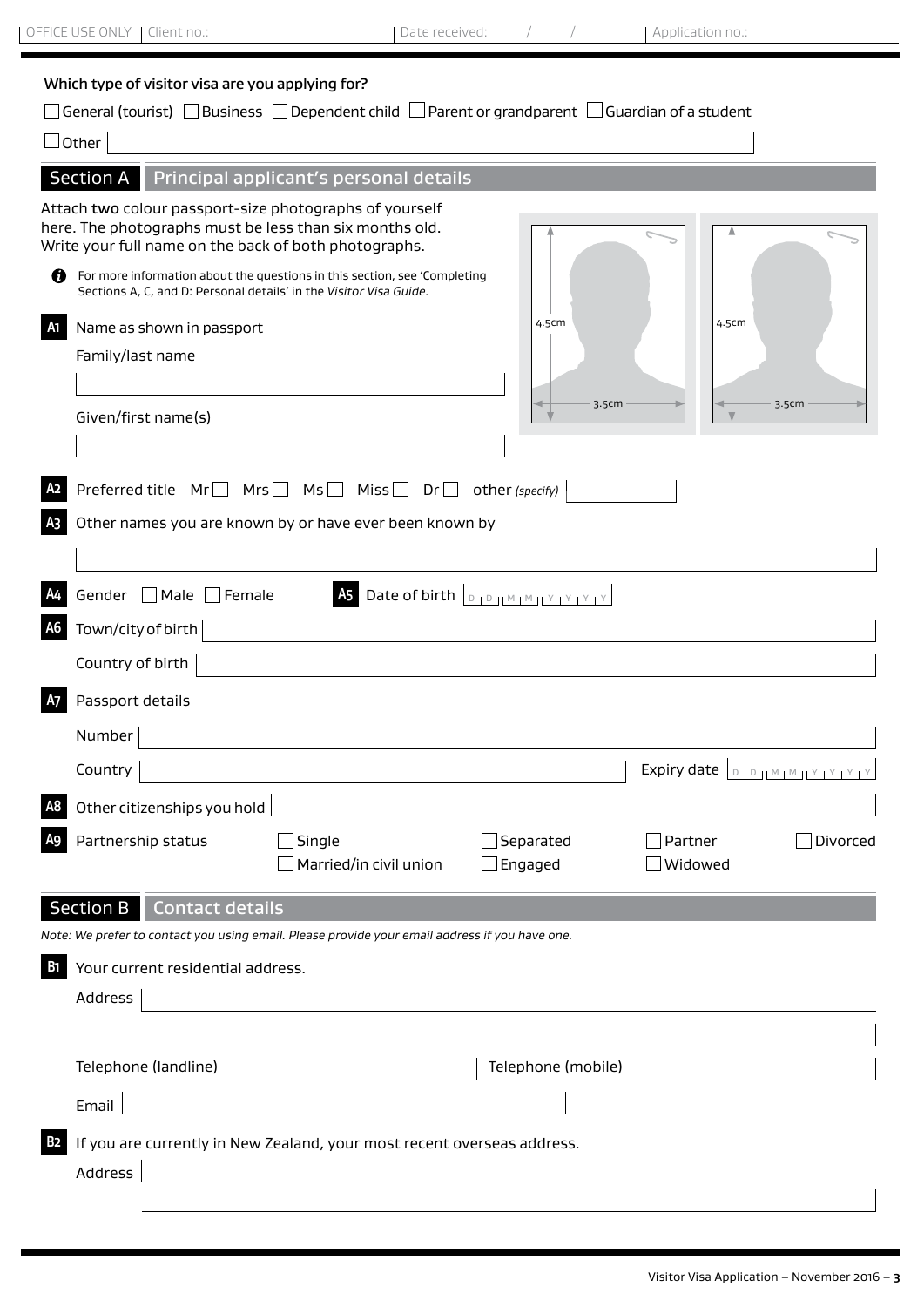Address<sup>[</sup>

| Which type of visitor visa are you applying for?<br>$\Box$ General (tourist) $\Box$ Business $\Box$ Dependent child $\Box$ Parent or grandparent $\Box$ Guardian of a student<br>$\vert$ Other<br>Principal applicant's personal details<br>Attach two colour passport-size photographs of yourself<br>here. The photographs must be less than six months old.<br>Write your full name on the back of both photographs.<br>Ø<br>For more information about the questions in this section, see 'Completing<br>Sections A, C, and D: Personal details' in the Visitor Visa Guide.<br>4.5cm<br>4.5cm<br>Name as shown in passport<br>Family/last name<br>3.5cm<br>3.5cm<br>Given/first name(s)<br>Preferred title Mr□ Mrs□ Ms□ Miss□<br>$Dr \Box$<br>other (specify)<br>Other names you are known by or have ever been known by<br>Gender □ Male □ Female<br>Town/city of birth<br>Country of birth<br>Passport details<br>Number<br>Country<br>Other citizenships you hold<br>Partnership status<br>Separated<br>Single<br>Partner<br>Married/in civil union<br>$\Box$ Engaged<br>Widowed<br><b>Section B</b><br><b>Contact details</b><br>Note: We prefer to contact you using email. Please provide your email address if you have one.<br>Your current residential address.<br>ы<br>Address<br>Telephone (mobile)<br>Email | OFFICE USE ONLY   Client no.: | Date received: | Application no.:                |
|-----------------------------------------------------------------------------------------------------------------------------------------------------------------------------------------------------------------------------------------------------------------------------------------------------------------------------------------------------------------------------------------------------------------------------------------------------------------------------------------------------------------------------------------------------------------------------------------------------------------------------------------------------------------------------------------------------------------------------------------------------------------------------------------------------------------------------------------------------------------------------------------------------------------------------------------------------------------------------------------------------------------------------------------------------------------------------------------------------------------------------------------------------------------------------------------------------------------------------------------------------------------------------------------------------------------------------|-------------------------------|----------------|---------------------------------|
|                                                                                                                                                                                                                                                                                                                                                                                                                                                                                                                                                                                                                                                                                                                                                                                                                                                                                                                                                                                                                                                                                                                                                                                                                                                                                                                             |                               |                |                                 |
|                                                                                                                                                                                                                                                                                                                                                                                                                                                                                                                                                                                                                                                                                                                                                                                                                                                                                                                                                                                                                                                                                                                                                                                                                                                                                                                             | <b>Section A</b>              |                |                                 |
|                                                                                                                                                                                                                                                                                                                                                                                                                                                                                                                                                                                                                                                                                                                                                                                                                                                                                                                                                                                                                                                                                                                                                                                                                                                                                                                             |                               |                |                                 |
|                                                                                                                                                                                                                                                                                                                                                                                                                                                                                                                                                                                                                                                                                                                                                                                                                                                                                                                                                                                                                                                                                                                                                                                                                                                                                                                             |                               |                |                                 |
|                                                                                                                                                                                                                                                                                                                                                                                                                                                                                                                                                                                                                                                                                                                                                                                                                                                                                                                                                                                                                                                                                                                                                                                                                                                                                                                             |                               |                |                                 |
|                                                                                                                                                                                                                                                                                                                                                                                                                                                                                                                                                                                                                                                                                                                                                                                                                                                                                                                                                                                                                                                                                                                                                                                                                                                                                                                             |                               |                |                                 |
|                                                                                                                                                                                                                                                                                                                                                                                                                                                                                                                                                                                                                                                                                                                                                                                                                                                                                                                                                                                                                                                                                                                                                                                                                                                                                                                             |                               |                |                                 |
|                                                                                                                                                                                                                                                                                                                                                                                                                                                                                                                                                                                                                                                                                                                                                                                                                                                                                                                                                                                                                                                                                                                                                                                                                                                                                                                             |                               |                |                                 |
|                                                                                                                                                                                                                                                                                                                                                                                                                                                                                                                                                                                                                                                                                                                                                                                                                                                                                                                                                                                                                                                                                                                                                                                                                                                                                                                             |                               |                | Expiry date <b>DOUMMIY PYPY</b> |
|                                                                                                                                                                                                                                                                                                                                                                                                                                                                                                                                                                                                                                                                                                                                                                                                                                                                                                                                                                                                                                                                                                                                                                                                                                                                                                                             |                               |                |                                 |
|                                                                                                                                                                                                                                                                                                                                                                                                                                                                                                                                                                                                                                                                                                                                                                                                                                                                                                                                                                                                                                                                                                                                                                                                                                                                                                                             |                               |                | Divorced                        |
|                                                                                                                                                                                                                                                                                                                                                                                                                                                                                                                                                                                                                                                                                                                                                                                                                                                                                                                                                                                                                                                                                                                                                                                                                                                                                                                             |                               |                |                                 |
|                                                                                                                                                                                                                                                                                                                                                                                                                                                                                                                                                                                                                                                                                                                                                                                                                                                                                                                                                                                                                                                                                                                                                                                                                                                                                                                             |                               |                |                                 |
|                                                                                                                                                                                                                                                                                                                                                                                                                                                                                                                                                                                                                                                                                                                                                                                                                                                                                                                                                                                                                                                                                                                                                                                                                                                                                                                             |                               |                |                                 |
|                                                                                                                                                                                                                                                                                                                                                                                                                                                                                                                                                                                                                                                                                                                                                                                                                                                                                                                                                                                                                                                                                                                                                                                                                                                                                                                             |                               |                |                                 |
|                                                                                                                                                                                                                                                                                                                                                                                                                                                                                                                                                                                                                                                                                                                                                                                                                                                                                                                                                                                                                                                                                                                                                                                                                                                                                                                             |                               |                |                                 |
|                                                                                                                                                                                                                                                                                                                                                                                                                                                                                                                                                                                                                                                                                                                                                                                                                                                                                                                                                                                                                                                                                                                                                                                                                                                                                                                             |                               |                |                                 |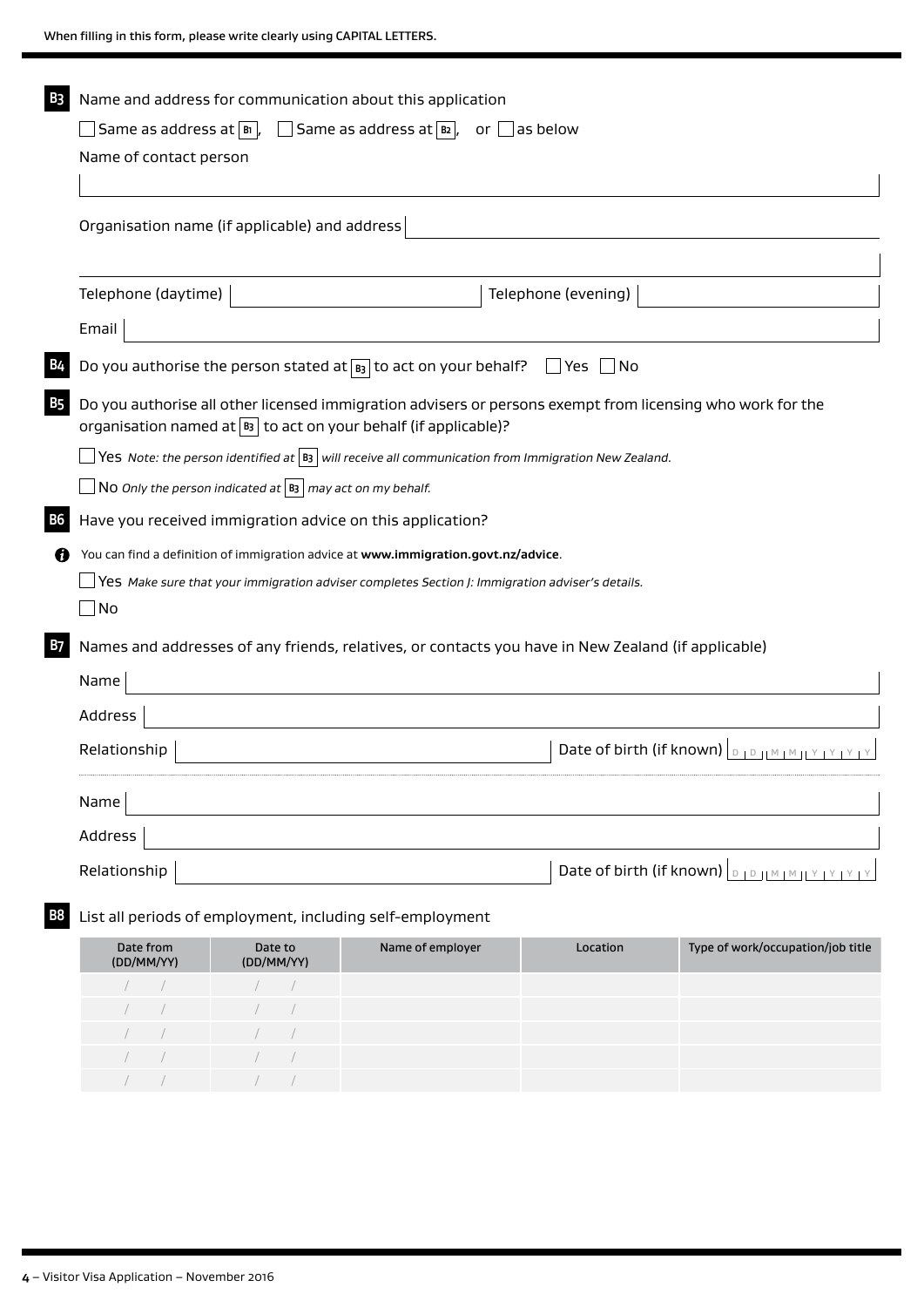| B3        | Name and address for communication about this application                                                                                                                             |                  |                          |                                                                                                                                                |  |  |  |  |
|-----------|---------------------------------------------------------------------------------------------------------------------------------------------------------------------------------------|------------------|--------------------------|------------------------------------------------------------------------------------------------------------------------------------------------|--|--|--|--|
|           | Same as address at $ \mathfrak{b} $ , $\Box$ Same as address at $ \mathfrak{b} $ , or $\Box$ as below                                                                                 |                  |                          |                                                                                                                                                |  |  |  |  |
|           | Name of contact person                                                                                                                                                                |                  |                          |                                                                                                                                                |  |  |  |  |
|           |                                                                                                                                                                                       |                  |                          |                                                                                                                                                |  |  |  |  |
|           | Organisation name (if applicable) and address                                                                                                                                         |                  |                          |                                                                                                                                                |  |  |  |  |
|           |                                                                                                                                                                                       |                  |                          |                                                                                                                                                |  |  |  |  |
|           | Telephone (daytime)                                                                                                                                                                   |                  | Telephone (evening)      |                                                                                                                                                |  |  |  |  |
|           | Email                                                                                                                                                                                 |                  |                          |                                                                                                                                                |  |  |  |  |
|           | Do you authorise the person stated at $\boxed{B_3}$ to act on your behalf?                                                                                                            |                  | $\Box$ Yes<br><b>No</b>  |                                                                                                                                                |  |  |  |  |
| <b>B5</b> | Do you authorise all other licensed immigration advisers or persons exempt from licensing who work for the<br>organisation named at $\vert$ as to act on your behalf (if applicable)? |                  |                          |                                                                                                                                                |  |  |  |  |
|           | $\Box$ Yes-Note: the person identified at $ $ B3 $ $ will receive all communication from Immigration New Zealand.                                                                     |                  |                          |                                                                                                                                                |  |  |  |  |
|           | NO Only the person indicated at $ B3 $ may act on my behalf.                                                                                                                          |                  |                          |                                                                                                                                                |  |  |  |  |
| B6 I      | Have you received immigration advice on this application?                                                                                                                             |                  |                          |                                                                                                                                                |  |  |  |  |
| n         | You can find a definition of immigration advice at www.immigration.govt.nz/advice.                                                                                                    |                  |                          |                                                                                                                                                |  |  |  |  |
|           | Yes Make sure that your immigration adviser completes Section J: Immigration adviser's details.                                                                                       |                  |                          |                                                                                                                                                |  |  |  |  |
|           | $\Box$ No                                                                                                                                                                             |                  |                          |                                                                                                                                                |  |  |  |  |
| B7        | Names and addresses of any friends, relatives, or contacts you have in New Zealand (if applicable)                                                                                    |                  |                          |                                                                                                                                                |  |  |  |  |
|           | Name                                                                                                                                                                                  |                  |                          |                                                                                                                                                |  |  |  |  |
|           | Address                                                                                                                                                                               |                  |                          |                                                                                                                                                |  |  |  |  |
|           | Relationship                                                                                                                                                                          |                  | Date of birth (if known) | $\mathsf D$                                                                                                                                    |  |  |  |  |
|           | Name                                                                                                                                                                                  |                  |                          |                                                                                                                                                |  |  |  |  |
|           | Address                                                                                                                                                                               |                  |                          |                                                                                                                                                |  |  |  |  |
|           | Relationship                                                                                                                                                                          |                  |                          | Date of birth (if known) $\vert_{\text{D} + \text{D} + \text{M} + \text{M} + \text{M} + \text{M} + \text{M} + \text{M} + \text{M} + \text{M}}$ |  |  |  |  |
| B8        | List all periods of employment, including self-employment                                                                                                                             |                  |                          |                                                                                                                                                |  |  |  |  |
|           | Date from<br>Date to<br>(DD/MM/YY)<br>(DD/MM/YY)                                                                                                                                      | Name of employer | Location                 | Type of work/occupation/job title                                                                                                              |  |  |  |  |
|           |                                                                                                                                                                                       |                  |                          |                                                                                                                                                |  |  |  |  |
|           |                                                                                                                                                                                       |                  |                          |                                                                                                                                                |  |  |  |  |

/ / / /

/ / / /

/ / / /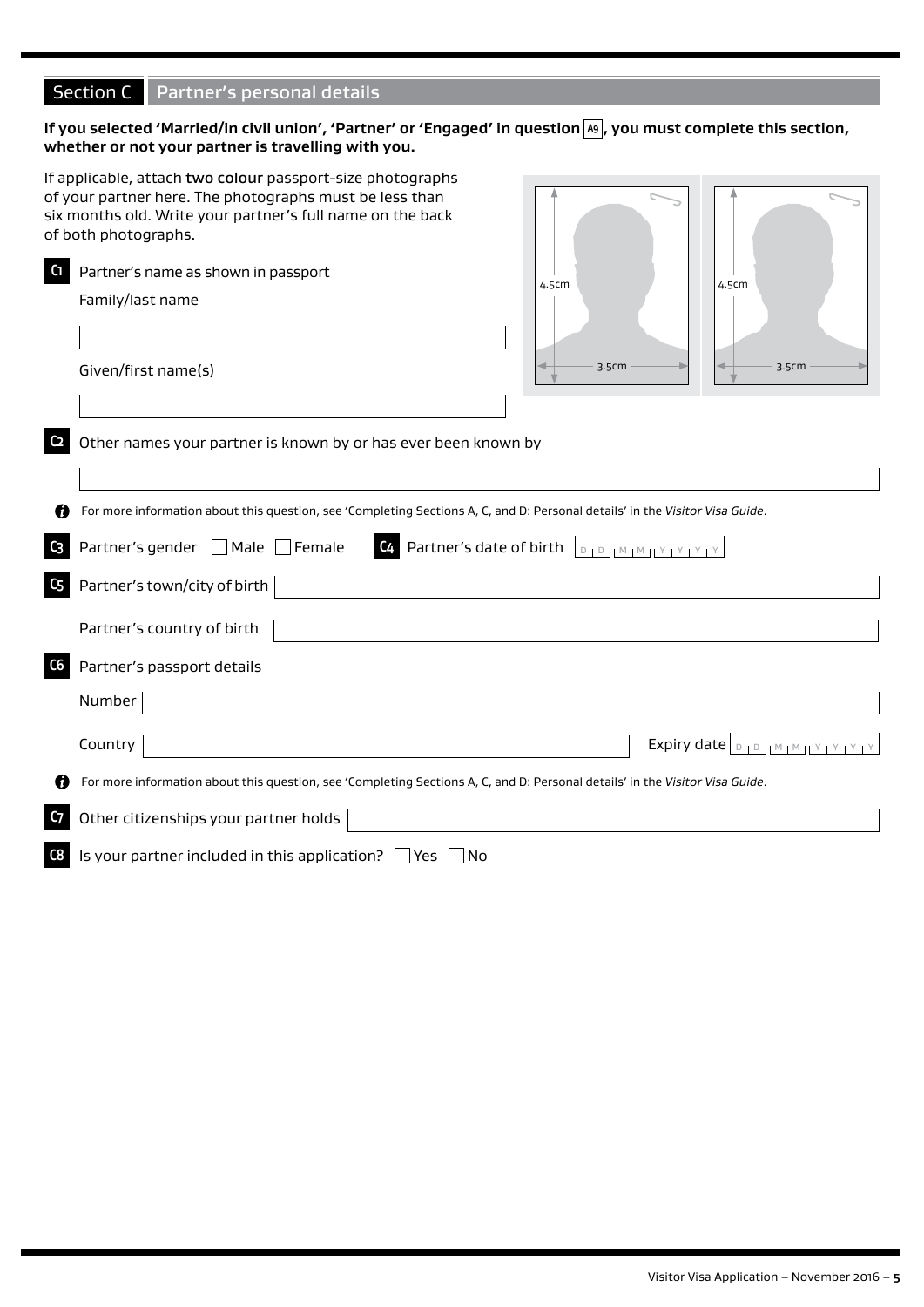# Section C Partner's personal details

# If you selected 'Married/in civil union', 'Partner' or 'Engaged' in question [A9], you must complete this section, **whether or not your partner is travelling with you.**

|                | If applicable, attach two colour passport-size photographs<br>of your partner here. The photographs must be less than<br>six months old. Write your partner's full name on the back<br>of both photographs. |                                                                         |                                           |
|----------------|-------------------------------------------------------------------------------------------------------------------------------------------------------------------------------------------------------------|-------------------------------------------------------------------------|-------------------------------------------|
| C1             | Partner's name as shown in passport<br>Family/last name<br>Given/first name(s)                                                                                                                              | 4.5cm<br>3.5cm                                                          | 4.5cm<br>3.5cm                            |
| C <sub>2</sub> | Other names your partner is known by or has ever been known by                                                                                                                                              |                                                                         |                                           |
|                | For more information about this question, see 'Completing Sections A, C, and D: Personal details' in the Visitor Visa Guide.                                                                                |                                                                         |                                           |
| C <sub>3</sub> | Partner's gender □ Male □ Female                                                                                                                                                                            | <b>C4</b> Partner's date of birth $\boxed{D + D +  M + M + Y + Y + Y }$ |                                           |
| C <sub>5</sub> | Partner's town/city of birth                                                                                                                                                                                |                                                                         |                                           |
|                | Partner's country of birth                                                                                                                                                                                  |                                                                         |                                           |
| ${\sf C6}$     | Partner's passport details                                                                                                                                                                                  |                                                                         |                                           |
|                | Number                                                                                                                                                                                                      |                                                                         |                                           |
|                | Country                                                                                                                                                                                                     |                                                                         | Expiry date $\log_{10}$ HM HM HY LY LY LY |
| n              | For more information about this question, see 'Completing Sections A, C, and D: Personal details' in the Visitor Visa Guide.                                                                                |                                                                         |                                           |
| C <sub>7</sub> | Other citizenships your partner holds                                                                                                                                                                       |                                                                         |                                           |
| C8             | Is your partner included in this application? $\Box$ Yes $\Box$ No                                                                                                                                          |                                                                         |                                           |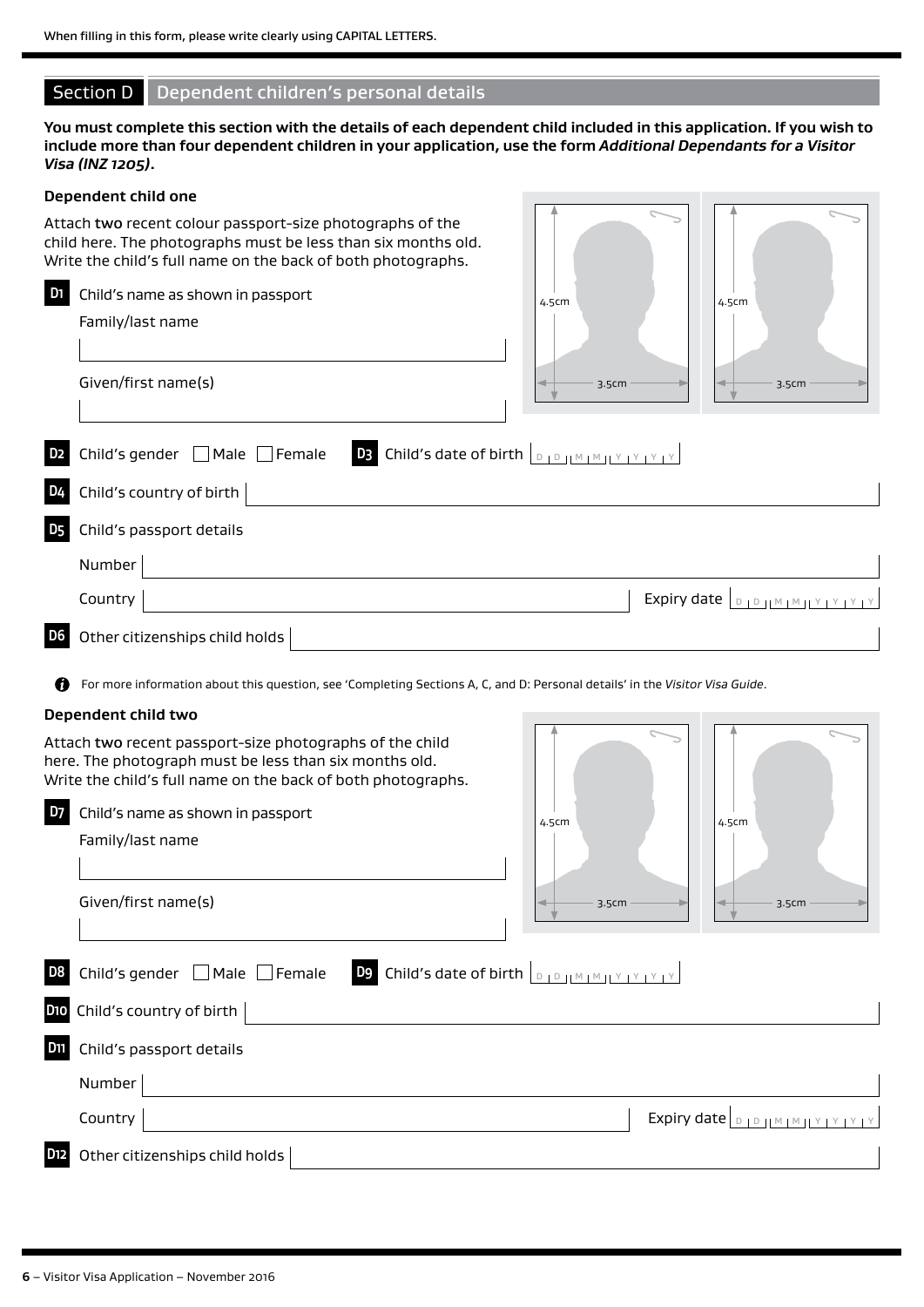# Section D Dependent children's personal details

**You must complete this section with the details of each dependent child included in this application. If you wish to include more than four dependent children in your application, use the form** *Additional Dependants for a Visitor Visa (INZ 1205)***.**

# **Dependent child one** Attach two recent colour passport-size photographs of the child here. The photographs must be less than six months old. Write the child's full name on the back of both photographs. **D1** Child's name as shown in passport Family/last name Given/first name(s) **D2** Child's gender Male Female **D3** Child's date of birth <sup>D</sup> <sup>D</sup> <sup>M</sup> <sup>M</sup> <sup>Y</sup> <sup>Y</sup> <sup>Y</sup> <sup>Y</sup> **D4** Child's country of birth  $\begin{bmatrix} 1 & 0 & 0 \\ 0 & 1 & 0 \\ 0 & 0 & 1 \end{bmatrix}$ **D5** Child's passport details Number Country Expiry date <sup>D</sup> <sup>D</sup> <sup>M</sup> <sup>M</sup> <sup>Y</sup> <sup>Y</sup> <sup>Y</sup> <sup>Y</sup> **D6** Other citizenships child holds 4.5cm  $3.5cm$  3.5cm  $\vert$  4.5cm

For more information about this question, see 'Completing Sections A, C, and D: Personal details' in the *Visitor Visa Guide*.

#### **Dependent child two**

| Attach two recent passport-size photographs of the child<br>here. The photograph must be less than six months old.<br>Write the child's full name on the back of both photographs. |             |                                   |
|------------------------------------------------------------------------------------------------------------------------------------------------------------------------------------|-------------|-----------------------------------|
| D <sub>7</sub><br>Child's name as shown in passport<br>Family/last name                                                                                                            | 4.5cm       | 4.5cm                             |
|                                                                                                                                                                                    |             |                                   |
| Given/first name(s)                                                                                                                                                                | 3.5cm       | 3.5cm                             |
| D <sub>8</sub><br>Child's gender $\Box$ Male $\Box$ Female                                                                                                                         |             |                                   |
| D10 Child's country of birth                                                                                                                                                       |             |                                   |
| <b>D11</b><br>Child's passport details                                                                                                                                             |             |                                   |
| Number                                                                                                                                                                             |             |                                   |
| Country                                                                                                                                                                            | Expiry date | D   D     M   M   I Y   Y   Y   Y |
| D <sub>12</sub><br>Other citizenships child holds                                                                                                                                  |             |                                   |
|                                                                                                                                                                                    |             |                                   |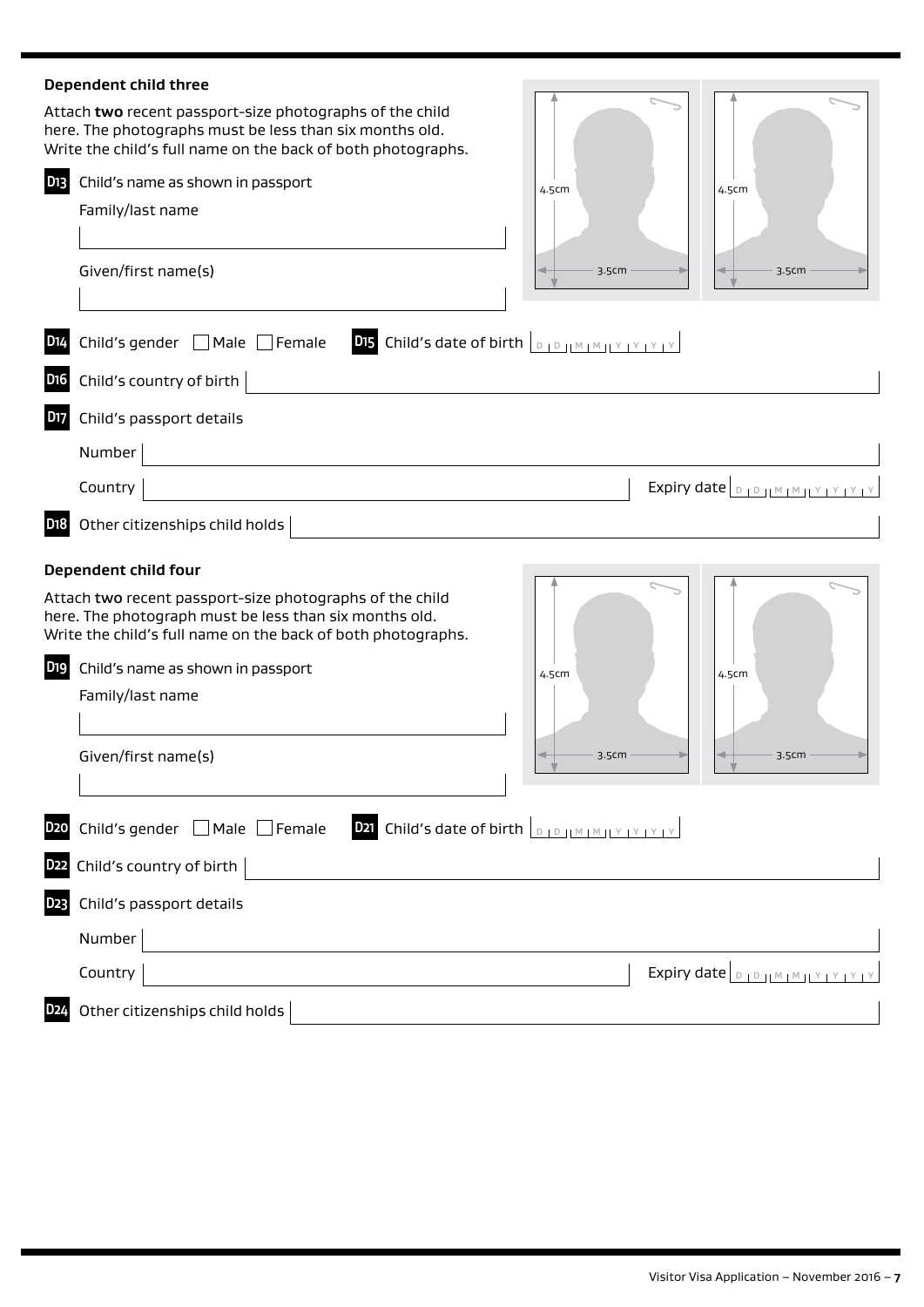|                 | Dependent child three                                                                                                                                                               |       |                                  |
|-----------------|-------------------------------------------------------------------------------------------------------------------------------------------------------------------------------------|-------|----------------------------------|
|                 | Attach two recent passport-size photographs of the child<br>here. The photographs must be less than six months old.<br>Write the child's full name on the back of both photographs. |       |                                  |
| D <sub>13</sub> | Child's name as shown in passport                                                                                                                                                   | 4.5cm | 4.5cm                            |
|                 | Family/last name                                                                                                                                                                    |       |                                  |
|                 | Given/first name(s)                                                                                                                                                                 | 3.5cm | 3.5cm                            |
| D <sub>14</sub> | Child's gender   Male   Female<br>DI5 Child's date of birth <b>DED JMMJYYYYY</b>                                                                                                    |       |                                  |
| D <sub>16</sub> | Child's country of birth                                                                                                                                                            |       |                                  |
| <b>D17</b>      | Child's passport details                                                                                                                                                            |       |                                  |
|                 | Number                                                                                                                                                                              |       |                                  |
|                 | Country                                                                                                                                                                             |       | Expiry date <b>DIDIMMIY YYYY</b> |
| D <sub>18</sub> | Other citizenships child holds                                                                                                                                                      |       |                                  |
|                 | Dependent child four                                                                                                                                                                |       |                                  |
|                 | Attach two recent passport-size photographs of the child<br>here. The photograph must be less than six months old.<br>Write the child's full name on the back of both photographs.  |       |                                  |
| D <sub>19</sub> | Child's name as shown in passport                                                                                                                                                   | 4.5cm | 4.5cm                            |
|                 | Family/last name                                                                                                                                                                    |       |                                  |
|                 |                                                                                                                                                                                     |       |                                  |
|                 | Given/first name(s)                                                                                                                                                                 | 3.5cm | 3.5cm                            |
| <b>D20</b>      | <b>D21</b> Child's date of birth <b>DED JMAM (YEY IY IY</b><br>Child's gender □ Male □ Female                                                                                       |       |                                  |
| D <sub>22</sub> | Child's country of birth                                                                                                                                                            |       |                                  |
| D <sub>23</sub> | Child's passport details                                                                                                                                                            |       |                                  |
|                 |                                                                                                                                                                                     |       |                                  |
|                 | Number                                                                                                                                                                              |       |                                  |
|                 | Country                                                                                                                                                                             |       | Expiry date <b>DIDJMMJYPYYPY</b> |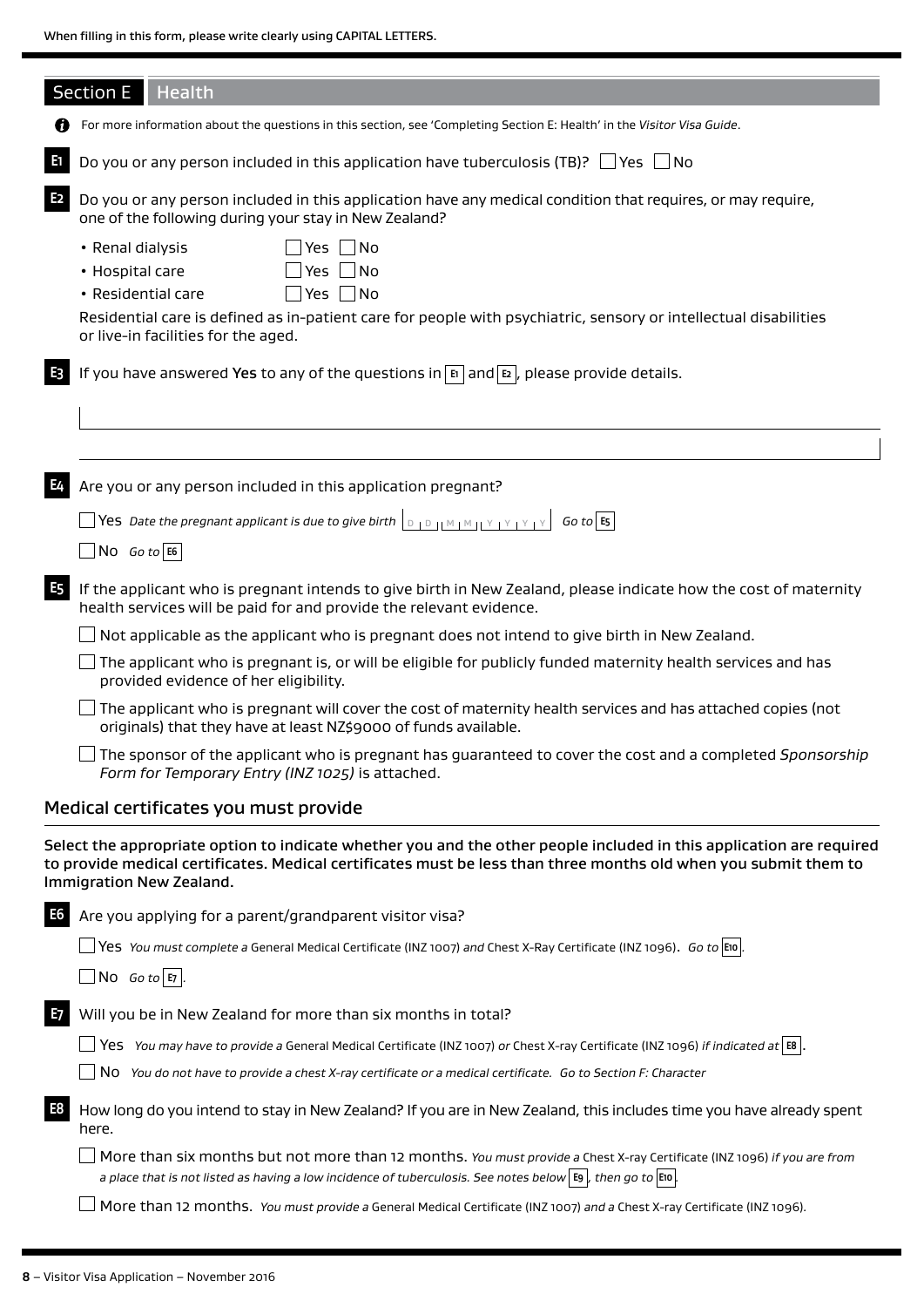|                | <b>Section E</b><br>Health                                                                                                                                                                                                                                             |
|----------------|------------------------------------------------------------------------------------------------------------------------------------------------------------------------------------------------------------------------------------------------------------------------|
|                | For more information about the questions in this section, see 'Completing Section E: Health' in the Visitor Visa Guide.                                                                                                                                                |
| E              | Do you or any person included in this application have tuberculosis (TB)? $\Box$ Yes $\Box$ No                                                                                                                                                                         |
| E <sub>2</sub> | Do you or any person included in this application have any medical condition that requires, or may require,<br>one of the following during your stay in New Zealand?                                                                                                   |
|                | Yes No<br>• Renal dialysis                                                                                                                                                                                                                                             |
|                | Yes $\Box$ No<br>• Hospital care                                                                                                                                                                                                                                       |
|                | $\exists$ Yes $\Box$ No<br>• Residential care                                                                                                                                                                                                                          |
|                | Residential care is defined as in-patient care for people with psychiatric, sensory or intellectual disabilities<br>or live-in facilities for the aged.                                                                                                                |
| E3             | If you have answered Yes to any of the questions in $\mathbb{E}$ and $\mathbb{E}$ , please provide details.                                                                                                                                                            |
|                |                                                                                                                                                                                                                                                                        |
|                |                                                                                                                                                                                                                                                                        |
|                |                                                                                                                                                                                                                                                                        |
| E4             | Are you or any person included in this application pregnant?                                                                                                                                                                                                           |
|                | $\lfloor$ Yes $\,$ Date the pregnant applicant is due to give birth $\mid$ $\,$ $\mid$ $\,$ $\mid$ $\,$ $\mid$ $\,$ $\mid$ $\,$ $\mid$ $\mid$ $\mid$ $\mid$ $\mid$ $\,$ $\mid$ $\,$ $\mid$ $\,$ $\mid$ $\,$ $\mid$ $\,$ $\mid$ $\,$ $\mid$ $\,$ $\mid$ $\,$ $\mid$ $\$ |
|                | $N$ O <i>Go to</i> E6                                                                                                                                                                                                                                                  |
| <b>E5</b>      | If the applicant who is pregnant intends to give birth in New Zealand, please indicate how the cost of maternity<br>health services will be paid for and provide the relevant evidence.                                                                                |
|                | Not applicable as the applicant who is pregnant does not intend to give birth in New Zealand.                                                                                                                                                                          |
|                | The applicant who is pregnant is, or will be eligible for publicly funded maternity health services and has<br>provided evidence of her eligibility.                                                                                                                   |
|                | The applicant who is pregnant will cover the cost of maternity health services and has attached copies (not<br>originals) that they have at least NZ\$9000 of funds available.                                                                                         |
|                | The sponsor of the applicant who is pregnant has guaranteed to cover the cost and a completed Sponsorship<br>Form for Temporary Entry (INZ 1025) is attached.                                                                                                          |
|                | Medical certificates you must provide                                                                                                                                                                                                                                  |
|                | Select the appropriate option to indicate whether you and the other people included in this application are required<br>to provide medical certificates. Medical certificates must be less than three months old when you submit them to<br>Immigration New Zealand.   |
| E6             | Are you applying for a parent/grandparent visitor visa?                                                                                                                                                                                                                |
|                | $\Box$ Yes You must complete a General Medical Certificate (INZ 1007) and Chest X-Ray Certificate (INZ 1096). Go to E10.                                                                                                                                               |
|                | $\Box$ No Go to E7 .                                                                                                                                                                                                                                                   |
| E7             | Will you be in New Zealand for more than six months in total?                                                                                                                                                                                                          |
|                | Yes You may have to provide a General Medical Certificate (INZ 1007) or Chest X-ray Certificate (INZ 1096) if indicated at $\vert$ E8 .                                                                                                                                |
|                | No You do not have to provide a chest X-ray certificate or a medical certificate. Go to Section F: Character                                                                                                                                                           |

**E8** How long do you intend to stay in New Zealand? If you are in New Zealand, this includes time you have already spent here.

More than six months but not more than 12 months. *You must provide a* Chest X-ray Certificate (INZ 1096) *if you are from a place that is not listed as having a low incidence of tuberculosis. See notes below* **E9** *, then go to* **E10** *.*

More than 12 months. *You must provide a* General Medical Certificate (INZ 1007) *and a* Chest X-ray Certificate (INZ 1096)*.*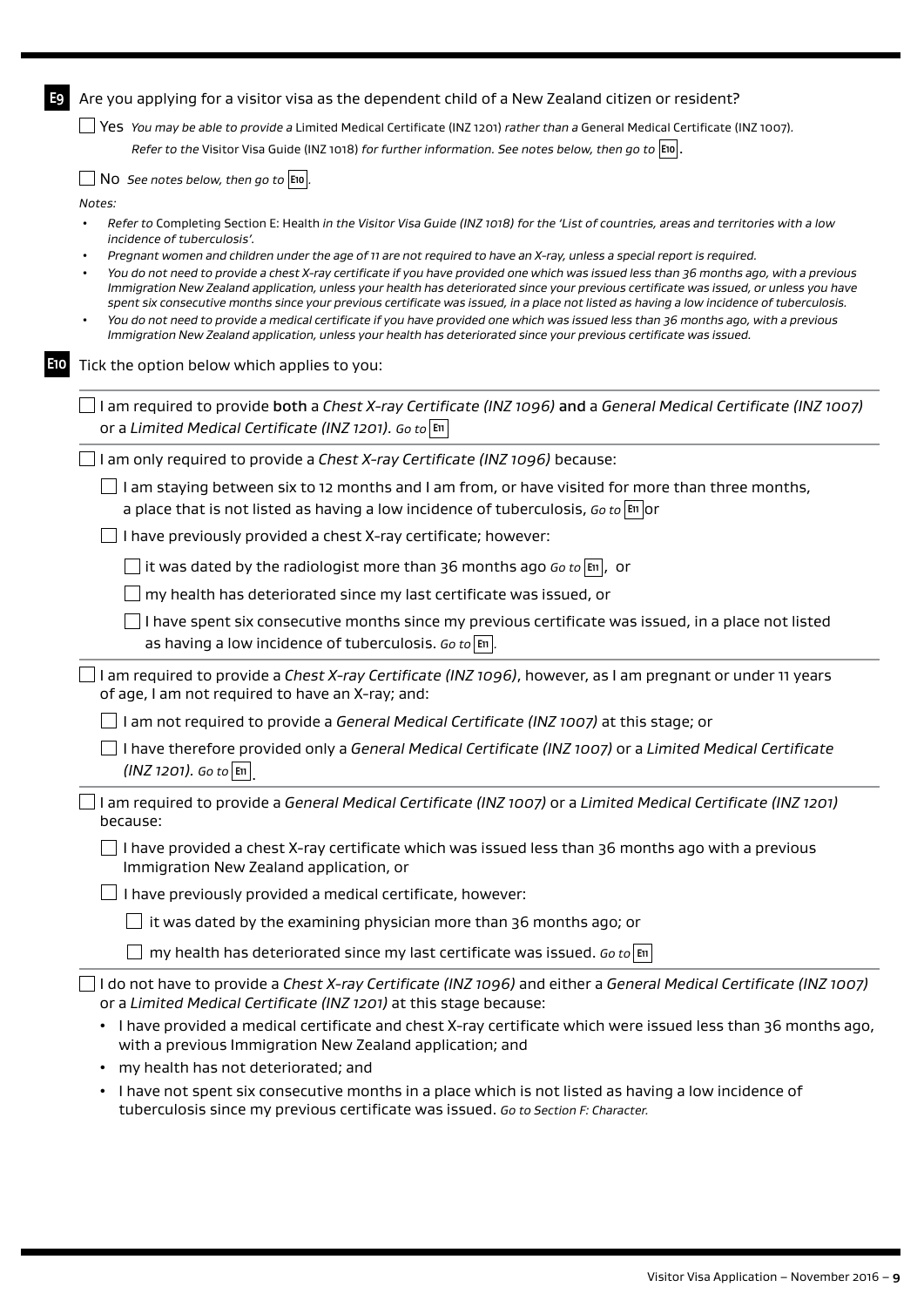| E9  | Are you applying for a visitor visa as the dependent child of a New Zealand citizen or resident?                                                                                                                                                                                                                                                                                                                                                                                                                                                                                                                                                                                                                                                                                                                          |
|-----|---------------------------------------------------------------------------------------------------------------------------------------------------------------------------------------------------------------------------------------------------------------------------------------------------------------------------------------------------------------------------------------------------------------------------------------------------------------------------------------------------------------------------------------------------------------------------------------------------------------------------------------------------------------------------------------------------------------------------------------------------------------------------------------------------------------------------|
|     | Yes You may be able to provide a Limited Medical Certificate (INZ 1201) rather than a General Medical Certificate (INZ 1007).                                                                                                                                                                                                                                                                                                                                                                                                                                                                                                                                                                                                                                                                                             |
|     | Refer to the Visitor Visa Guide (INZ 1018) for further information. See notes below, then go to E <sup>10</sup> .                                                                                                                                                                                                                                                                                                                                                                                                                                                                                                                                                                                                                                                                                                         |
|     | NO See notes below, then go to $ E10 $ .                                                                                                                                                                                                                                                                                                                                                                                                                                                                                                                                                                                                                                                                                                                                                                                  |
|     | Notes:                                                                                                                                                                                                                                                                                                                                                                                                                                                                                                                                                                                                                                                                                                                                                                                                                    |
|     | Refer to Completing Section E: Health in the Visitor Visa Guide (INZ 1018) for the 'List of countries, areas and territories with a low<br>incidence of tuberculosis'.                                                                                                                                                                                                                                                                                                                                                                                                                                                                                                                                                                                                                                                    |
|     | Pregnant women and children under the age of 11 are not required to have an X-ray, unless a special report is required.<br>You do not need to provide a chest X-ray certificate if you have provided one which was issued less than 36 months ago, with a previous<br>Immigration New Zealand application, unless your health has deteriorated since your previous certificate was issued, or unless you have<br>spent six consecutive months since your previous certificate was issued, in a place not listed as having a low incidence of tuberculosis.<br>You do not need to provide a medical certificate if you have provided one which was issued less than 36 months ago, with a previous<br>Immigration New Zealand application, unless your health has deteriorated since your previous certificate was issued. |
| E10 | Tick the option below which applies to you:                                                                                                                                                                                                                                                                                                                                                                                                                                                                                                                                                                                                                                                                                                                                                                               |
|     | I am required to provide both a Chest X-ray Certificate (INZ 1096) and a General Medical Certificate (INZ 1007)<br>or a Limited Medical Certificate (INZ 1201). Go to $ \mathbb{m} $                                                                                                                                                                                                                                                                                                                                                                                                                                                                                                                                                                                                                                      |
|     | I am only required to provide a Chest X-ray Certificate (INZ 1096) because:                                                                                                                                                                                                                                                                                                                                                                                                                                                                                                                                                                                                                                                                                                                                               |
|     | I am staying between six to 12 months and I am from, or have visited for more than three months,<br>a place that is not listed as having a low incidence of tuberculosis, Go to $ \mathfrak{m} $ or                                                                                                                                                                                                                                                                                                                                                                                                                                                                                                                                                                                                                       |
|     | I have previously provided a chest X-ray certificate; however:                                                                                                                                                                                                                                                                                                                                                                                                                                                                                                                                                                                                                                                                                                                                                            |
|     | it was dated by the radiologist more than 36 months ago Go to $ \mathbf{m} $ , or                                                                                                                                                                                                                                                                                                                                                                                                                                                                                                                                                                                                                                                                                                                                         |
|     | my health has deteriorated since my last certificate was issued, or                                                                                                                                                                                                                                                                                                                                                                                                                                                                                                                                                                                                                                                                                                                                                       |
|     | I have spent six consecutive months since my previous certificate was issued, in a place not listed<br>as having a low incidence of tuberculosis. Go to $ \mathbf{m} $ .                                                                                                                                                                                                                                                                                                                                                                                                                                                                                                                                                                                                                                                  |
|     | I am required to provide a Chest X-ray Certificate (INZ 1096), however, as I am pregnant or under 11 years<br>of age, I am not required to have an X-ray; and:                                                                                                                                                                                                                                                                                                                                                                                                                                                                                                                                                                                                                                                            |
|     | I am not required to provide a General Medical Certificate (INZ 1007) at this stage; or                                                                                                                                                                                                                                                                                                                                                                                                                                                                                                                                                                                                                                                                                                                                   |
|     | I have therefore provided only a General Medical Certificate (INZ 1007) or a Limited Medical Certificate<br>$(INZ 1201)$ . Go to E11                                                                                                                                                                                                                                                                                                                                                                                                                                                                                                                                                                                                                                                                                      |
|     | I am required to provide a General Medical Certificate (INZ 1007) or a Limited Medical Certificate (INZ 1201)<br>because:                                                                                                                                                                                                                                                                                                                                                                                                                                                                                                                                                                                                                                                                                                 |
|     | I have provided a chest X-ray certificate which was issued less than 36 months ago with a previous<br>Immigration New Zealand application, or                                                                                                                                                                                                                                                                                                                                                                                                                                                                                                                                                                                                                                                                             |
|     | I have previously provided a medical certificate, however:                                                                                                                                                                                                                                                                                                                                                                                                                                                                                                                                                                                                                                                                                                                                                                |
|     | it was dated by the examining physician more than 36 months ago; or                                                                                                                                                                                                                                                                                                                                                                                                                                                                                                                                                                                                                                                                                                                                                       |
|     | my health has deteriorated since my last certificate was issued. Go to $\vert$ En                                                                                                                                                                                                                                                                                                                                                                                                                                                                                                                                                                                                                                                                                                                                         |
|     | I do not have to provide a Chest X-ray Certificate (INZ 1096) and either a General Medical Certificate (INZ 1007)<br>or a Limited Medical Certificate (INZ 1201) at this stage because:                                                                                                                                                                                                                                                                                                                                                                                                                                                                                                                                                                                                                                   |
|     | • I have provided a medical certificate and chest X-ray certificate which were issued less than 36 months ago,<br>with a previous Immigration New Zealand application; and                                                                                                                                                                                                                                                                                                                                                                                                                                                                                                                                                                                                                                                |
|     | • my health has not deteriorated; and                                                                                                                                                                                                                                                                                                                                                                                                                                                                                                                                                                                                                                                                                                                                                                                     |

• I have not spent six consecutive months in a place which is not listed as having a low incidence of tuberculosis since my previous certificate was issued. *Go to Section F: Character.*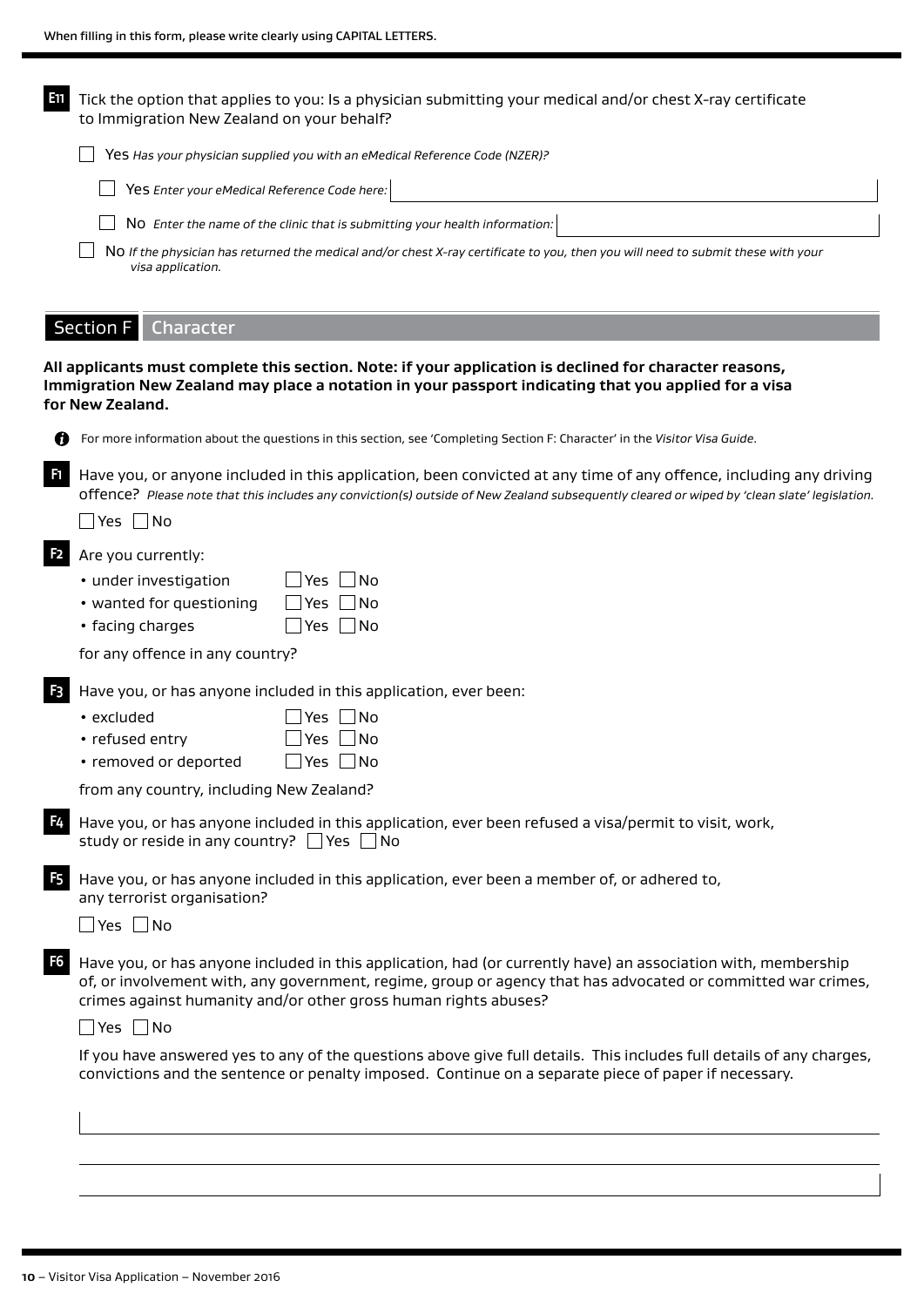| ETI | Tick the option that applies to you: Is a physician submitting your medical and/or chest X-ray certificate<br>to Immigration New Zealand on your behalf? |
|-----|----------------------------------------------------------------------------------------------------------------------------------------------------------|
|     | Yes Has your physician supplied you with an eMedical Reference Code (NZER)?                                                                              |
|     | Yes Enter your eMedical Reference Code here:                                                                                                             |
|     | No Enter the name of the clinic that is submitting your health information:                                                                              |
|     | NO If the physician has returned the medical and/or chest X-ray certificate to you, then you will need to submit these with your<br>visa application.    |
|     |                                                                                                                                                          |

# Section F Character

#### **All applicants must complete this section. Note: if your application is declined for character reasons, Immigration New Zealand may place a notation in your passport indicating that you applied for a visa for New Zealand.**

| ۹ |  |
|---|--|
| × |  |
|   |  |
|   |  |
|   |  |

For more information about the questions in this section, see 'Completing Section F: Character' in the *Visitor Visa Guide*.

**F1** Have you, or anyone included in this application, been convicted at any time of any offence, including any driving offence? *Please note that this includes any conviction(s) outside of New Zealand subsequently cleared or wiped by 'clean slate' legislation.*

 $\Box$  Yes  $\Box$  No

**F2** Are you currently:

| • under investigation |  | $\Box$ Yes $\Box$ No |  |  |
|-----------------------|--|----------------------|--|--|
|-----------------------|--|----------------------|--|--|

| • wanted for questioning | $\Box$ Yes $\Box$ No |  |
|--------------------------|----------------------|--|
|--------------------------|----------------------|--|

• facing charges  $\Box$  Yes  $\Box$  No

for any offence in any country?

**F3** Have you, or has anyone included in this application, ever been:

| $\cdot$ excluded | $\Box$ Yes $\Box$ No |
|------------------|----------------------|
|                  |                      |

- refused entry  $\Box$  Yes  $\Box$  No
- removed or deported  $\Box$  Yes  $\Box$  No

from any country, including New Zealand?

**F4** Have you, or has anyone included in this application, ever been refused a visa/permit to visit, work, study or reside in any country?  $\Box$  Yes  $\Box$  No

**F5** Have you, or has anyone included in this application, ever been a member of, or adhered to, any terrorist organisation?

 $\Box$  Yes  $\Box$  No

**F6** Have you, or has anyone included in this application, had (or currently have) an association with, membership of, or involvement with, any government, regime, group or agency that has advocated or committed war crimes, crimes against humanity and/or other gross human rights abuses?

 $\Box$  Yes  $\Box$  No

If you have answered yes to any of the questions above give full details. This includes full details of any charges, convictions and the sentence or penalty imposed. Continue on a separate piece of paper if necessary.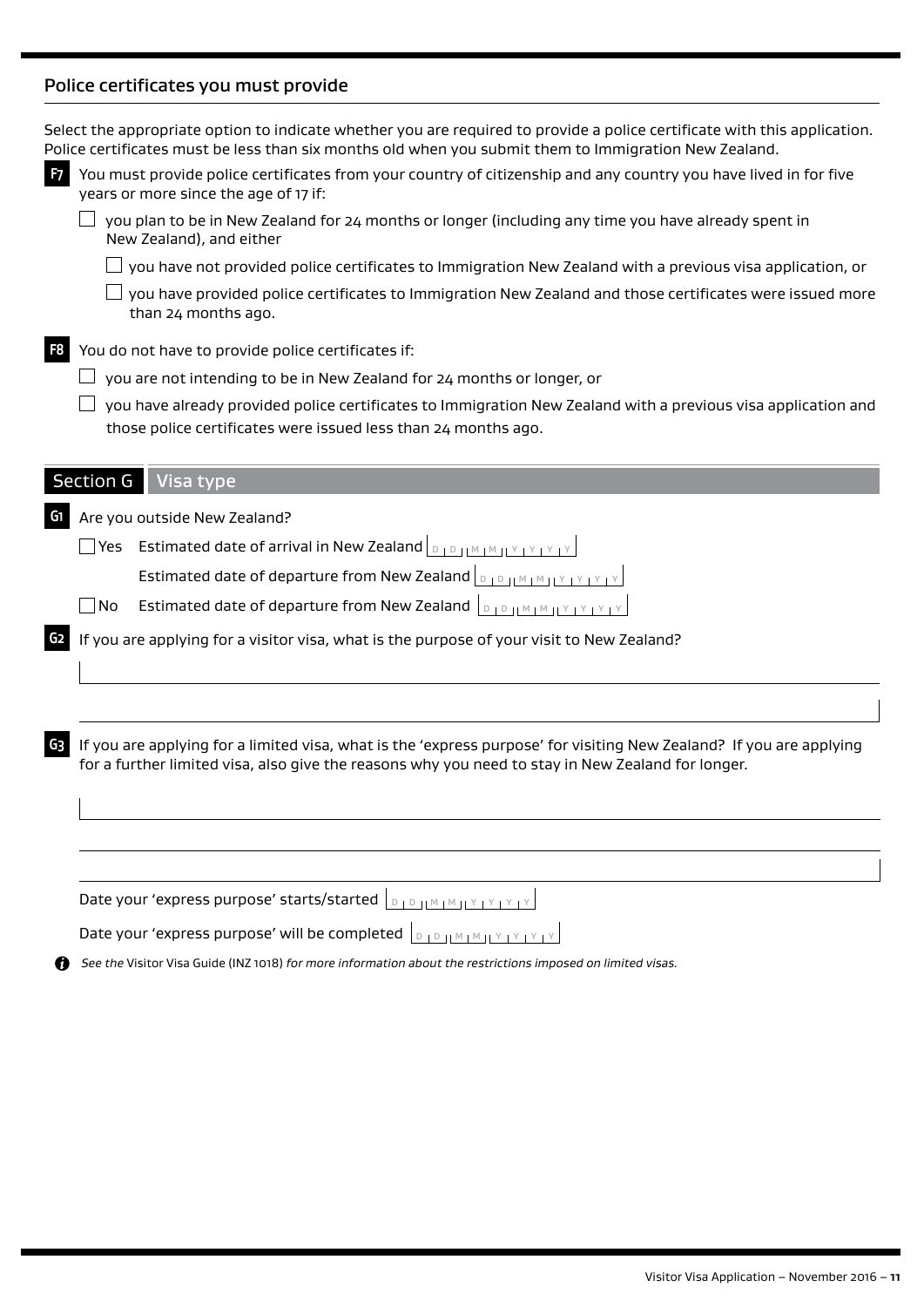# Police certificates you must provide

|                | Select the appropriate option to indicate whether you are required to provide a police certificate with this application.<br>Police certificates must be less than six months old when you submit them to Immigration New Zealand.                                                                                                                                           |
|----------------|------------------------------------------------------------------------------------------------------------------------------------------------------------------------------------------------------------------------------------------------------------------------------------------------------------------------------------------------------------------------------|
| F <sub>7</sub> | You must provide police certificates from your country of citizenship and any country you have lived in for five<br>years or more since the age of 17 if:                                                                                                                                                                                                                    |
|                | you plan to be in New Zealand for 24 months or longer (including any time you have already spent in<br>New Zealand), and either                                                                                                                                                                                                                                              |
|                | you have not provided police certificates to Immigration New Zealand with a previous visa application, or                                                                                                                                                                                                                                                                    |
|                | you have provided police certificates to Immigration New Zealand and those certificates were issued more<br>than 24 months ago.                                                                                                                                                                                                                                              |
| F8             | You do not have to provide police certificates if:                                                                                                                                                                                                                                                                                                                           |
|                | you are not intending to be in New Zealand for 24 months or longer, or                                                                                                                                                                                                                                                                                                       |
|                | you have already provided police certificates to Immigration New Zealand with a previous visa application and<br>those police certificates were issued less than 24 months ago.                                                                                                                                                                                              |
|                | <b>Section G</b><br>Visa type                                                                                                                                                                                                                                                                                                                                                |
| G1             | Are you outside New Zealand?                                                                                                                                                                                                                                                                                                                                                 |
|                | $\Box$ Yes Estimated date of arrival in New Zealand $ _{\texttt{D}+\texttt{D}+\texttt{M}+\texttt{M}+\texttt{M}+\texttt{M}+\texttt{M}+\texttt{M}+\texttt{M}+\texttt{M}+\texttt{M}+\texttt{M}+\texttt{M}+\texttt{M}+\texttt{M}+\texttt{M}+\texttt{M}+\texttt{M}+\texttt{M}+\texttt{M}+\texttt{M}+\texttt{M}+\texttt{M}+\texttt{M}+\texttt{M}+\texttt{M}+\texttt{M}+\texttt{M}$ |
|                | Estimated date of departure from New Zealand $\vert_{\mathbb{D}_1\mathbb{D}_1\mathbb{M}_1\mathbb{M}_1\mathbb{M}_1\mathbb{M}_1\mathbb{M}_1\mathbb{M}_1\mathbb{M}_1\mathbb{M}_1\mathbb{M}_1\mathbb{M}_1\mathbb{M}_1\mathbb{M}_1\mathbb{M}_1\mathbb{M}_1\mathbb{M}_1\mathbb{M}_1\mathbb{M}_1\mathbb{M}_1\mathbb{M}_1\mathbb{M}_1\mathbb{M}_1\mathbb{M}_1\mathbb{$               |
|                | Estimated date of departure from New Zealand $\ D\ D\ $<br>$\Box$ No                                                                                                                                                                                                                                                                                                         |
| G2             | If you are applying for a visitor visa, what is the purpose of your visit to New Zealand?                                                                                                                                                                                                                                                                                    |
|                |                                                                                                                                                                                                                                                                                                                                                                              |
| G3             | If you are applying for a limited visa, what is the 'express purpose' for visiting New Zealand? If you are applying<br>for a further limited visa, also give the reasons why you need to stay in New Zealand for longer.                                                                                                                                                     |
|                |                                                                                                                                                                                                                                                                                                                                                                              |
|                |                                                                                                                                                                                                                                                                                                                                                                              |
|                | Date your 'express purpose' starts/started  D  D    M   M    Y   Y   Y   Y                                                                                                                                                                                                                                                                                                   |
|                | Date your 'express purpose' will be completed  DIDHMHMHYTYTYTY                                                                                                                                                                                                                                                                                                               |
|                | See the Visitor Visa Guide (INZ 1018) for more information about the restrictions imposed on limited visas.                                                                                                                                                                                                                                                                  |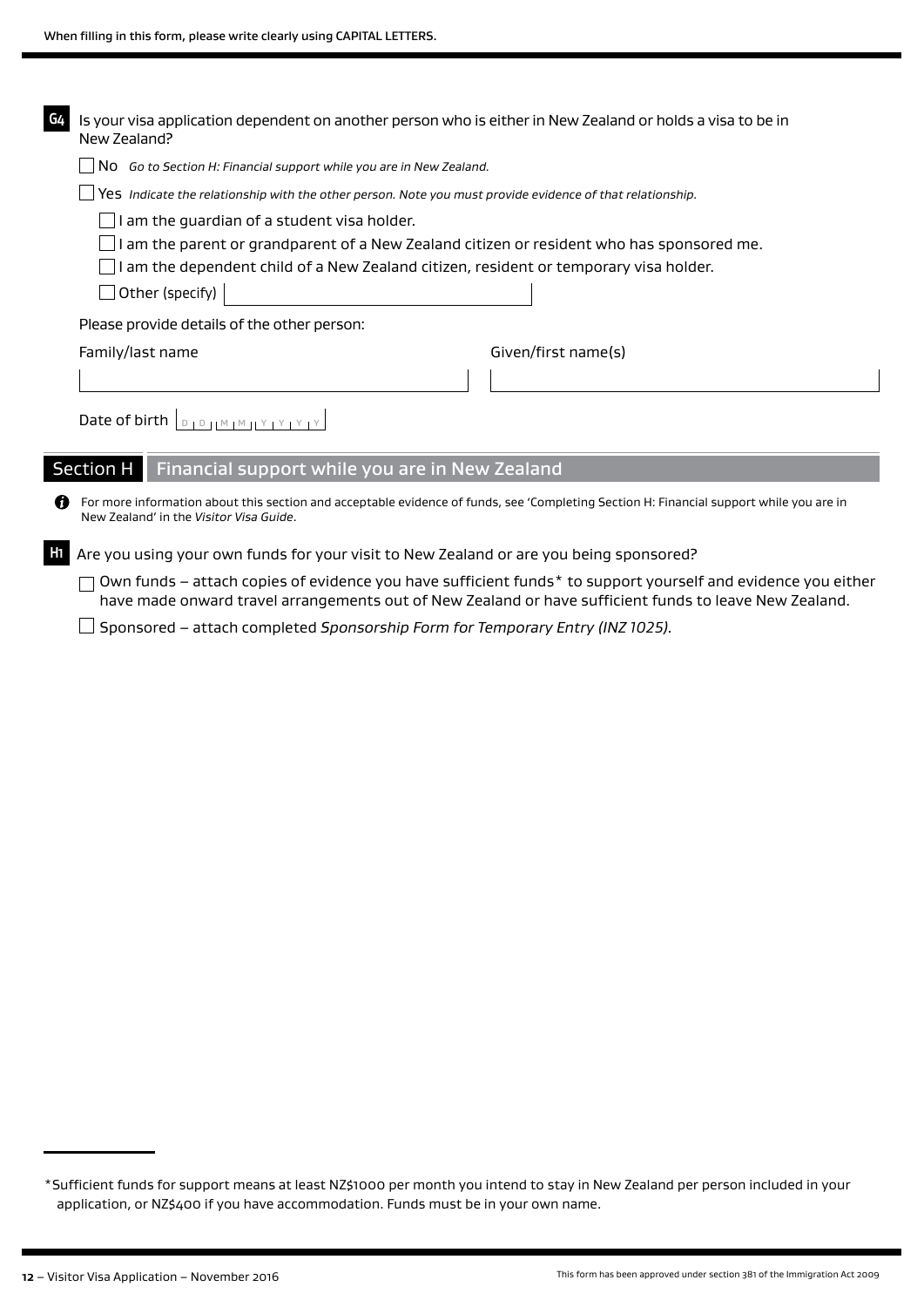| G4 | Is your visa application dependent on another person who is either in New Zealand or holds a visa to be in<br>New Zealand?                                                         |                                                                                                              |  |  |  |  |  |  |
|----|------------------------------------------------------------------------------------------------------------------------------------------------------------------------------------|--------------------------------------------------------------------------------------------------------------|--|--|--|--|--|--|
|    | No Go to Section H: Financial support while you are in New Zealand.                                                                                                                |                                                                                                              |  |  |  |  |  |  |
|    | Yes Indicate the relationship with the other person. Note you must provide evidence of that relationship.                                                                          |                                                                                                              |  |  |  |  |  |  |
|    | I am the guardian of a student visa holder.                                                                                                                                        |                                                                                                              |  |  |  |  |  |  |
|    | I am the parent or grandparent of a New Zealand citizen or resident who has sponsored me.                                                                                          |                                                                                                              |  |  |  |  |  |  |
|    | I am the dependent child of a New Zealand citizen, resident or temporary visa holder.                                                                                              |                                                                                                              |  |  |  |  |  |  |
|    | $\Box$ Other (specify)                                                                                                                                                             |                                                                                                              |  |  |  |  |  |  |
|    | Please provide details of the other person:                                                                                                                                        |                                                                                                              |  |  |  |  |  |  |
|    | Given/first name(s)<br>Family/last name                                                                                                                                            |                                                                                                              |  |  |  |  |  |  |
|    |                                                                                                                                                                                    |                                                                                                              |  |  |  |  |  |  |
|    | Date of birth $ _{D+D+ M+M+1}$                                                                                                                                                     |                                                                                                              |  |  |  |  |  |  |
|    | Financial support while you are in New Zealand<br>Section H                                                                                                                        |                                                                                                              |  |  |  |  |  |  |
| m  | For more information about this section and acceptable evidence of funds, see 'Completing Section H: Financial support while you are in<br>New Zealand' in the Visitor Visa Guide. |                                                                                                              |  |  |  |  |  |  |
| H1 | Are you using your own funds for your visit to New Zealand or are you being sponsored?                                                                                             |                                                                                                              |  |  |  |  |  |  |
|    | have made onward travel arrangements out of New Zealand or have sufficient funds to leave New Zealand.                                                                             | Own funds - attach copies of evidence you have sufficient funds* to support yourself and evidence you either |  |  |  |  |  |  |

Sponsored – attach completed *Sponsorship Form for Temporary Entry (INZ 1025).*

<sup>\*</sup>Sufficient funds for support means at least NZ\$1000 per month you intend to stay in New Zealand per person included in your application, or NZ\$400 if you have accommodation. Funds must be in your own name.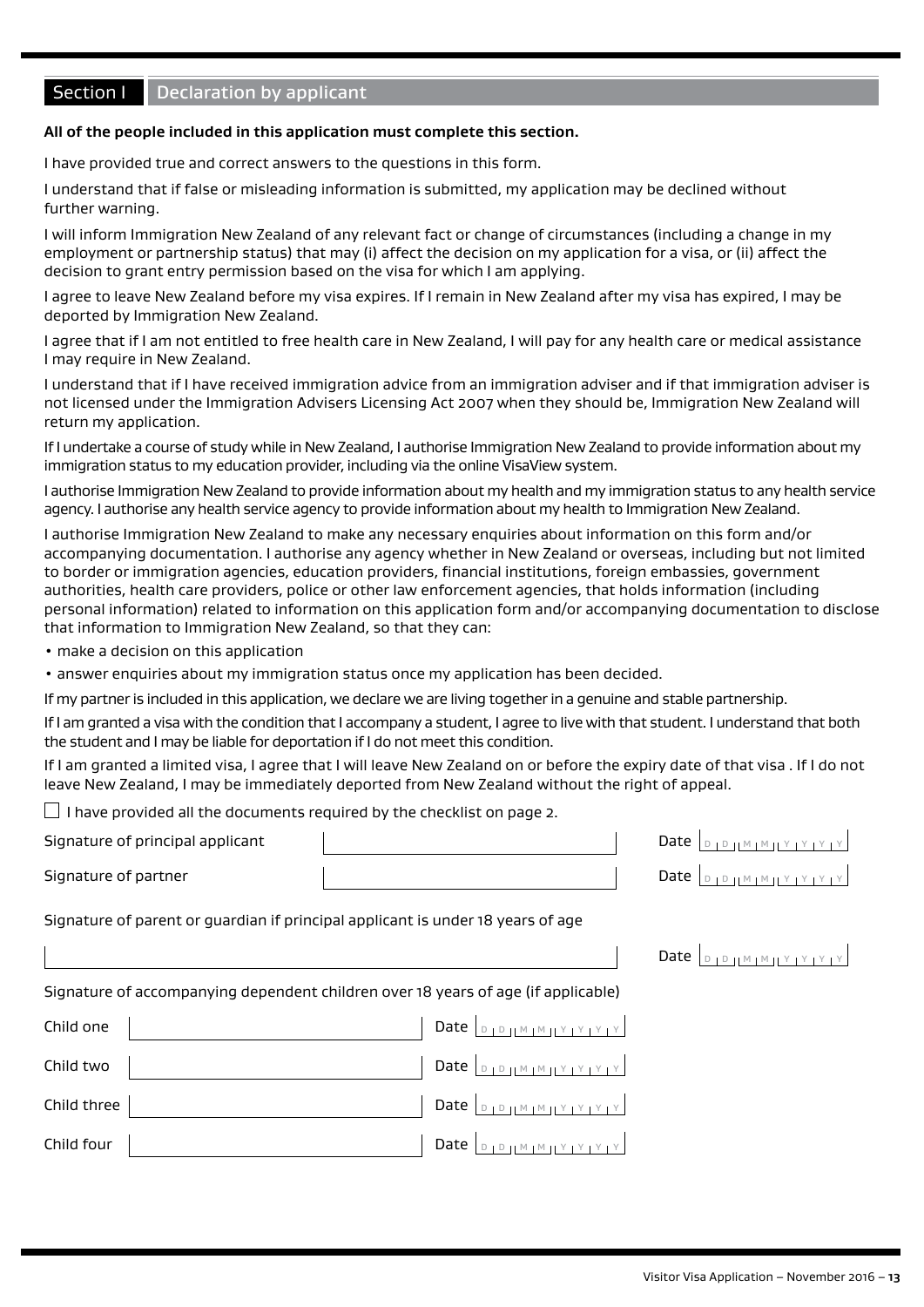# **Section I** Declaration by applicant

#### **All of the people included in this application must complete this section.**

I have provided true and correct answers to the questions in this form.

I understand that if false or misleading information is submitted, my application may be declined without further warning.

I will inform Immigration New Zealand of any relevant fact or change of circumstances (including a change in my employment or partnership status) that may (i) affect the decision on my application for a visa, or (ii) affect the decision to grant entry permission based on the visa for which I am applying.

I agree to leave New Zealand before my visa expires. If I remain in New Zealand after my visa has expired, I may be deported by Immigration New Zealand.

I agree that if I am not entitled to free health care in New Zealand, I will pay for any health care or medical assistance I may require in New Zealand.

I understand that if I have received immigration advice from an immigration adviser and if that immigration adviser is not licensed under the Immigration Advisers Licensing Act 2007 when they should be, Immigration New Zealand will return my application.

If I undertake a course of study while in New Zealand, I authorise Immigration New Zealand to provide information about my immigration status to my education provider, including via the online VisaView system.

I authorise Immigration New Zealand to provide information about my health and my immigration status to any health service agency. I authorise any health service agency to provide information about my health to Immigration New Zealand.

I authorise Immigration New Zealand to make any necessary enquiries about information on this form and/or accompanying documentation. I authorise any agency whether in New Zealand or overseas, including but not limited to border or immigration agencies, education providers, financial institutions, foreign embassies, government authorities, health care providers, police or other law enforcement agencies, that holds information (including personal information) related to information on this application form and/or accompanying documentation to disclose that information to Immigration New Zealand, so that they can:

- make a decision on this application
- answer enquiries about my immigration status once my application has been decided.

If my partner is included in this application, we declare we are living together in a genuine and stable partnership.

If I am granted a visa with the condition that I accompany a student, I agree to live with that student. I understand that both the student and I may be liable for deportation if I do not meet this condition.

If I am granted a limited visa, I agree that I will leave New Zealand on or before the expiry date of that visa . If I do not leave New Zealand, I may be immediately deported from New Zealand without the right of appeal.

 $\Box$  I have provided all the documents required by the checklist on page 2.

Signature of principal applicant  $\blacksquare$ 

Signature of partner and the Date D Date D D Date D D M M N Y Y Y Y

Signature of parent or guardian if principal applicant is under 18 years of age

| Signature of accompanying dependent children over 18 years of age (if applicable) |                                                                                             |  |
|-----------------------------------------------------------------------------------|---------------------------------------------------------------------------------------------|--|
| Child one                                                                         | Date $\vert_{\text{D1PIIMIMI}Y_1Y_1Y_1Y_1Y_1}$                                              |  |
| Child two                                                                         | Date $\vert_{\text{DIPHMIMIVIVIVIV}}$                                                       |  |
| Child three                                                                       | Date $\left  \begin{array}{c} p_{1}p_{1}M_{1}M_{1}Y_{1}Y_{1}Y_{1}Y_{1} \end{array} \right $ |  |
| Child four                                                                        | <br>  Y   Y   Y   Y    M   M    O  <br>Date $ $                                             |  |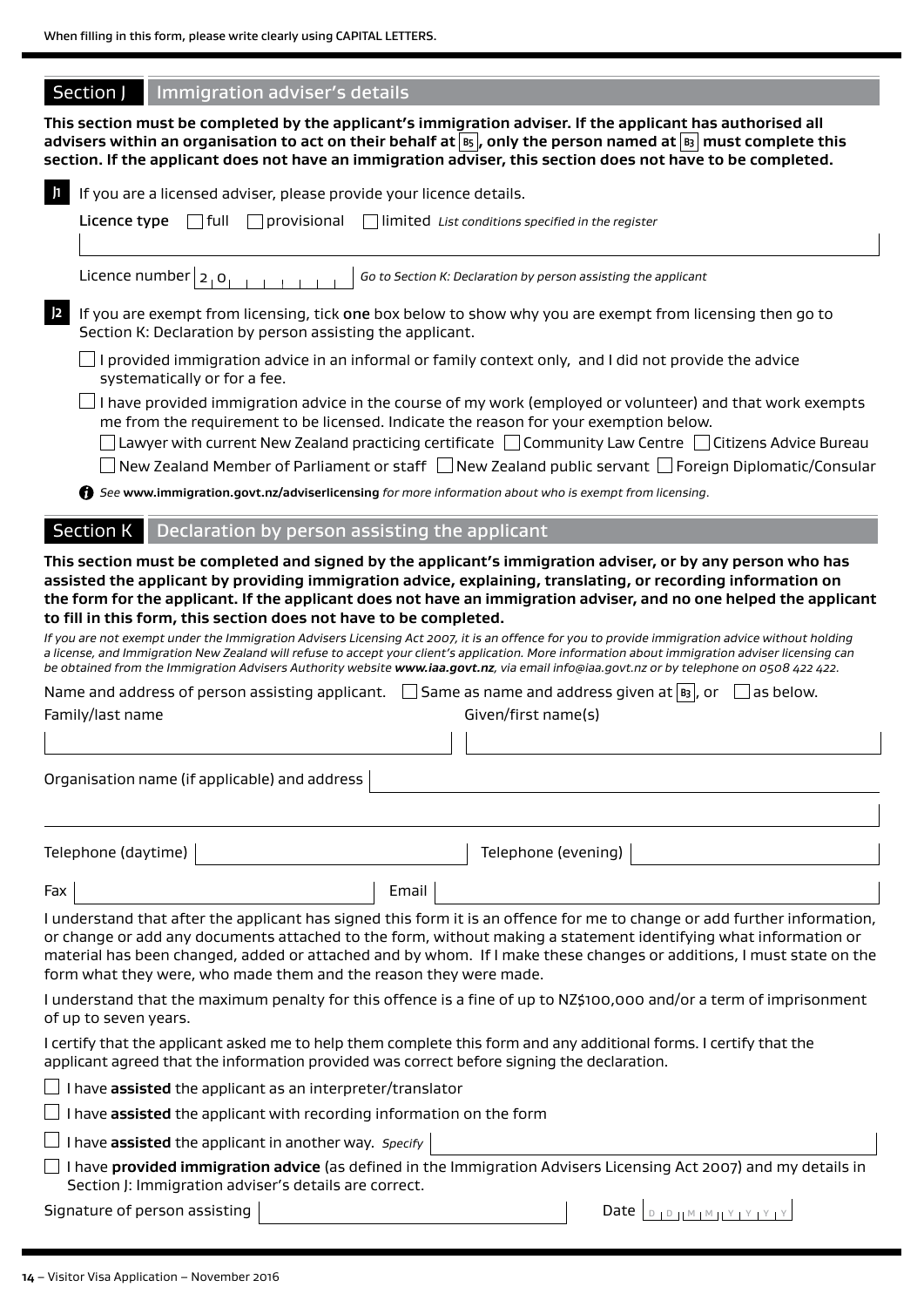| Section J | Immigration adviser's details |
|-----------|-------------------------------|
|-----------|-------------------------------|

**This section must be completed by the applicant's immigration adviser. If the applicant has authorised all**  advisers within an organisation to act on their behalf at  $|\textbf{\textit{s}}|$ , only the person named at  $|\textbf{\textit{s}}|$  must complete this **section. If the applicant does not have an immigration adviser, this section does not have to be completed.**

| $\mathbf{I}$<br>If you are a licensed adviser, please provide your licence details.                   |                                               |       |                     |                                                                                                                                                                                                                                                                                                                                                                                                                                                 |  |
|-------------------------------------------------------------------------------------------------------|-----------------------------------------------|-------|---------------------|-------------------------------------------------------------------------------------------------------------------------------------------------------------------------------------------------------------------------------------------------------------------------------------------------------------------------------------------------------------------------------------------------------------------------------------------------|--|
| full<br>Licence type                                                                                  | $\Box$ provisional                            |       |                     | limited List conditions specified in the register                                                                                                                                                                                                                                                                                                                                                                                               |  |
|                                                                                                       |                                               |       |                     |                                                                                                                                                                                                                                                                                                                                                                                                                                                 |  |
| Licence number $ 2 0 $                                                                                |                                               |       |                     | Go to Section K: Declaration by person assisting the applicant                                                                                                                                                                                                                                                                                                                                                                                  |  |
| J2<br>Section K: Declaration by person assisting the applicant.                                       |                                               |       |                     | If you are exempt from licensing, tick one box below to show why you are exempt from licensing then go to                                                                                                                                                                                                                                                                                                                                       |  |
| systematically or for a fee.                                                                          |                                               |       |                     | I provided immigration advice in an informal or family context only, and I did not provide the advice                                                                                                                                                                                                                                                                                                                                           |  |
|                                                                                                       |                                               |       |                     | I have provided immigration advice in the course of my work (employed or volunteer) and that work exempts<br>me from the requirement to be licensed. Indicate the reason for your exemption below.                                                                                                                                                                                                                                              |  |
|                                                                                                       |                                               |       |                     | $\Box$ Lawyer with current New Zealand practicing certificate $\Box$ Community Law Centre $\Box$ Citizens Advice Bureau<br>New Zealand Member of Parliament or staff $\Box$ New Zealand public servant $\Box$ Foreign Diplomatic/Consular                                                                                                                                                                                                       |  |
| See www.immigration.govt.nz/adviserlicensing for more information about who is exempt from licensing. |                                               |       |                     |                                                                                                                                                                                                                                                                                                                                                                                                                                                 |  |
| <b>Section K</b>                                                                                      | Declaration by person assisting the applicant |       |                     |                                                                                                                                                                                                                                                                                                                                                                                                                                                 |  |
| to fill in this form, this section does not have to be completed.                                     |                                               |       |                     | This section must be completed and signed by the applicant's immigration adviser, or by any person who has<br>assisted the applicant by providing immigration advice, explaining, translating, or recording information on<br>the form for the applicant. If the applicant does not have an immigration adviser, and no one helped the applicant                                                                                                |  |
|                                                                                                       |                                               |       |                     | If you are not exempt under the Immigration Advisers Licensing Act 2007, it is an offence for you to provide immigration advice without holding<br>a license, and Immigration New Zealand will refuse to accept your client's application. More information about immigration adviser licensing can<br>be obtained from the Immigration Advisers Authority website www.iaa.govt.nz, via email info@iaa.govt.nz or by telephone on 0508 422 422. |  |
| Name and address of person assisting applicant. $\Box$ Same as name and address given at $ s_3 $ , or |                                               |       |                     | as below.                                                                                                                                                                                                                                                                                                                                                                                                                                       |  |
| Family/last name                                                                                      |                                               |       | Given/first name(s) |                                                                                                                                                                                                                                                                                                                                                                                                                                                 |  |
|                                                                                                       |                                               |       |                     |                                                                                                                                                                                                                                                                                                                                                                                                                                                 |  |
| Organisation name (if applicable) and address                                                         |                                               |       |                     |                                                                                                                                                                                                                                                                                                                                                                                                                                                 |  |
|                                                                                                       |                                               |       |                     |                                                                                                                                                                                                                                                                                                                                                                                                                                                 |  |
| Telephone (daytime)                                                                                   |                                               |       | Telephone (evening) |                                                                                                                                                                                                                                                                                                                                                                                                                                                 |  |
| Fax                                                                                                   |                                               | Email |                     |                                                                                                                                                                                                                                                                                                                                                                                                                                                 |  |
| form what they were, who made them and the reason they were made.                                     |                                               |       |                     | I understand that after the applicant has signed this form it is an offence for me to change or add further information,<br>or change or add any documents attached to the form, without making a statement identifying what information or<br>material has been changed, added or attached and by whom. If I make these changes or additions, I must state on the                                                                              |  |
| of up to seven years.                                                                                 |                                               |       |                     | I understand that the maximum penalty for this offence is a fine of up to NZ\$100,000 and/or a term of imprisonment                                                                                                                                                                                                                                                                                                                             |  |
| applicant agreed that the information provided was correct before signing the declaration.            |                                               |       |                     | I certify that the applicant asked me to help them complete this form and any additional forms. I certify that the                                                                                                                                                                                                                                                                                                                              |  |
| $\Box$ I have <b>assisted</b> the applicant as an interpreter/translator                              |                                               |       |                     |                                                                                                                                                                                                                                                                                                                                                                                                                                                 |  |
| $\Box$ I have assisted the applicant with recording information on the form                           |                                               |       |                     |                                                                                                                                                                                                                                                                                                                                                                                                                                                 |  |
| $\perp$ I have assisted the applicant in another way. Specify                                         |                                               |       |                     |                                                                                                                                                                                                                                                                                                                                                                                                                                                 |  |
| Section J: Immigration adviser's details are correct.                                                 |                                               |       |                     | $\Box$ I have <b>provided immigration advice</b> (as defined in the Immigration Advisers Licensing Act 2007) and my details in                                                                                                                                                                                                                                                                                                                  |  |
| Signature of person assisting                                                                         |                                               |       |                     |                                                                                                                                                                                                                                                                                                                                                                                                                                                 |  |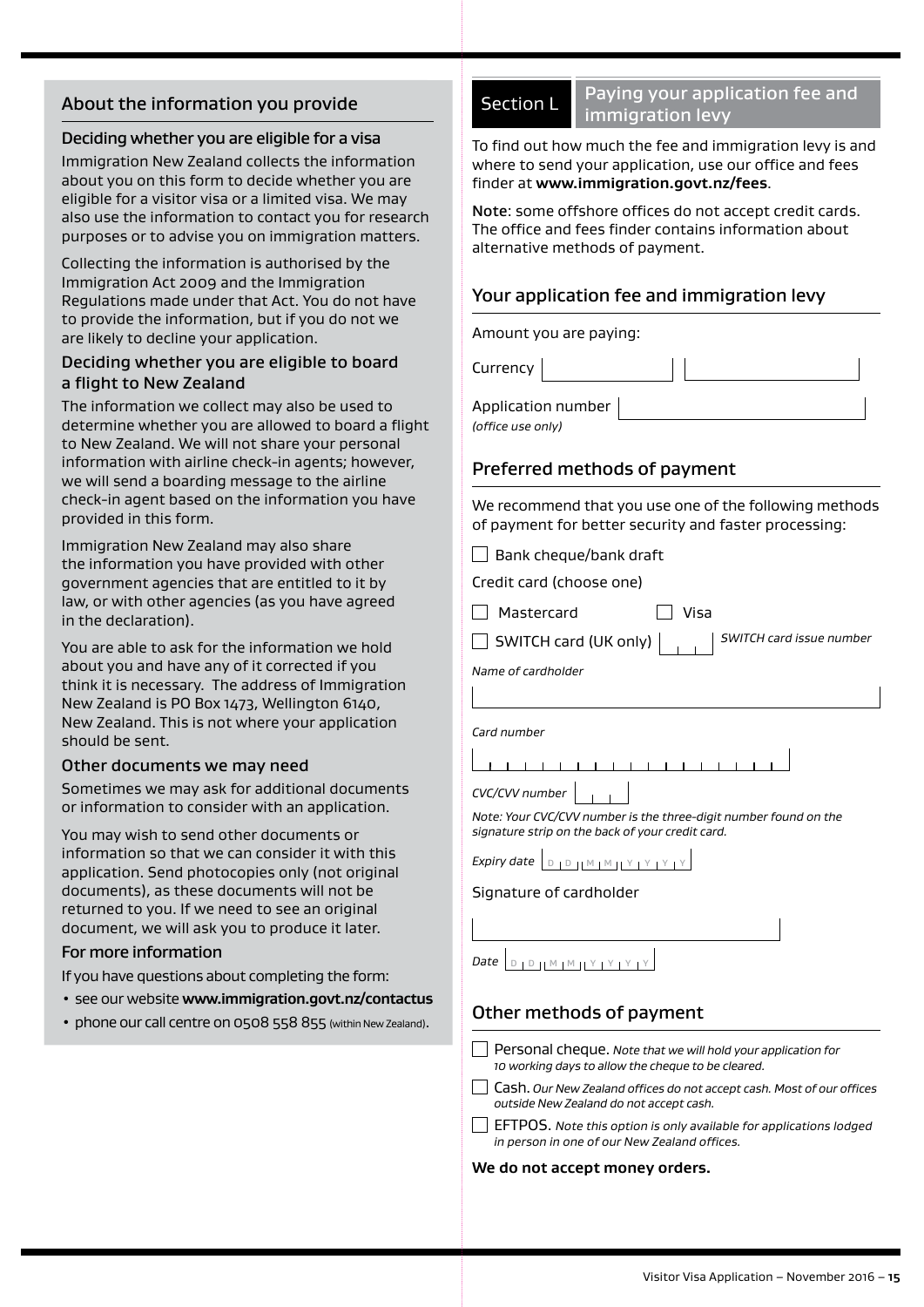# About the information you provide

## Deciding whether you are eligible for a visa

Immigration New Zealand collects the information about you on this form to decide whether you are eligible for a visitor visa or a limited visa. We may also use the information to contact you for research purposes or to advise you on immigration matters.

Collecting the information is authorised by the Immigration Act 2009 and the Immigration Regulations made under that Act. You do not have to provide the information, but if you do not we are likely to decline your application.

## Deciding whether you are eligible to board a flight to New Zealand

The information we collect may also be used to determine whether you are allowed to board a flight to New Zealand. We will not share your personal information with airline check-in agents; however, we will send a boarding message to the airline check-in agent based on the information you have provided in this form.

Immigration New Zealand may also share the information you have provided with other government agencies that are entitled to it by law, or with other agencies (as you have agreed in the declaration).

You are able to ask for the information we hold about you and have any of it corrected if you think it is necessary. The address of Immigration New Zealand is PO Box 1473, Wellington 6140, New Zealand. This is not where your application should be sent.

## Other documents we may need

Sometimes we may ask for additional documents or information to consider with an application.

You may wish to send other documents or information so that we can consider it with this application. Send photocopies only (not original documents), as these documents will not be returned to you. If we need to see an original document, we will ask you to produce it later.

## For more information

- If you have questions about completing the form:
- see our website **www.immigration.govt.nz/contactus**
- phone our call centre on 0508 558 855 (within New Zealand).

# Section L Paying your application fee and immigration levy

To find out how much the fee and immigration levy is and where to send your application, use our office and fees finder at **www.immigration.govt.nz/fees**.

Note: some offshore offices do not accept credit cards. The office and fees finder contains information about alternative methods of payment.

# Your application fee and immigration levy

Amount you are paying:

Currency

Application number *(office use only)*

# Preferred methods of payment

We recommend that you use one of the following methods of payment for better security and faster processing:

 $\Box$  Bank cheque/bank draft

Credit card (choose one)

Mastercard Visa

SWITCH card (UK only) *SWITCH card issue number*

*Name of cardholder*

*Card number*

*CVC/CVV number*

*Note: Your CVC/CVV number is the three-digit number found on the signature strip on the back of your credit card.*

*Expiry date* <sup>D</sup> <sup>D</sup> <sup>M</sup> <sup>M</sup> <sup>Y</sup> <sup>Y</sup> <sup>Y</sup> <sup>Y</sup>

## Signature of cardholder

| Date $D + D$ $N + M + Y + Y$ |  |
|------------------------------|--|

# Other methods of payment

- Personal cheque. *Note that we will hold your application for 10 working days to allow the cheque to be cleared.*
- Cash. *Our New Zealand offices do not accept cash. Most of our offices outside New Zealand do not accept cash.*
- EFTPOS. *Note this option is only available for applications lodged in person in one of our New Zealand offices.*

#### **We do not accept money orders.**